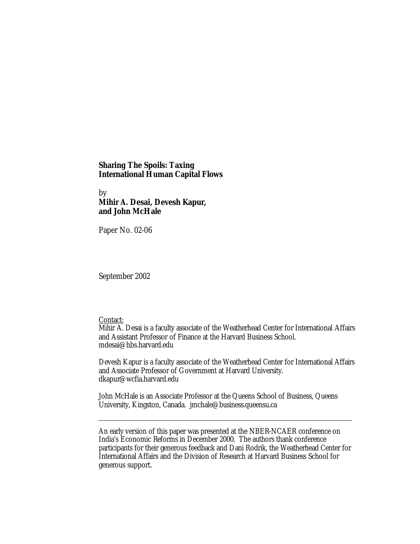## **Sharing The Spoils: Taxing International Human Capital Flows**

by **Mihir A. Desai, Devesh Kapur, and John McHale**

Paper No. 02-06

September 2002

Contact:

Mihir A. Desai is a faculty associate of the Weatherhead Center for International Affairs and Assistant Professor of Finance at the Harvard Business School. mdesai@hbs.harvard.edu

Devesh Kapur is a faculty associate of the Weatherhead Center for International Affairs and Associate Professor of Government at Harvard University. dkapur@wcfia.harvard.edu

John McHale is an Associate Professor at the Queens School of Business, Queens University, Kingston, Canada. jmchale@business.queensu.ca

An early version of this paper was presented at the NBER-NCAER conference on India's Economic Reforms in December 2000. The authors thank conference participants for their generous feedback and Dani Rodrik, the Weatherhead Center for International Affairs and the Division of Research at Harvard Business School for generous support.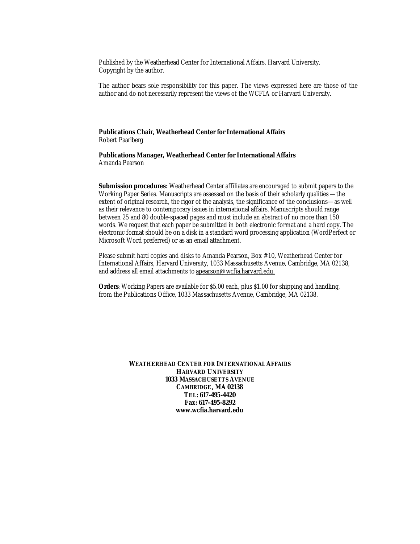Published by the Weatherhead Center for International Affairs, Harvard University. Copyright by the author.

The author bears sole responsibility for this paper. The views expressed here are those of the author and do not necessarily represent the views of the WCFIA or Harvard University.

#### **Publications Chair, Weatherhead Center for International Affairs** Robert Paarlberg

**Publications Manager, Weatherhead Center for International Affairs** Amanda Pearson

**Submission procedures:** Weatherhead Center affiliates are encouraged to submit papers to the Working Paper Series. Manuscripts are assessed on the basis of their scholarly qualities —the extent of original research, the rigor of the analysis, the significance of the conclusions—as well as their relevance to contemporary issues in international affairs. Manuscripts should range between 25 and 80 double-spaced pages and must include an abstract of no more than 150 words. We request that each paper be submitted in both electronic format and a hard copy. The electronic format should be on a disk in a standard word processing application (WordPerfect or Microsoft Word preferred) or as an email attachment.

Please submit hard copies and disks to Amanda Pearson, Box #10, Weatherhead Center for International Affairs, Harvard University, 1033 Massachusetts Avenue, Cambridge, MA 02138, and address all email attachments to apearson@wcfia.harvard.edu.

**Orders**: Working Papers are available for \$5.00 each, plus \$1.00 for shipping and handling, from the Publications Office, 1033 Massachusetts Avenue, Cambridge, MA 02138.

> **WEATHERHEAD CENTER FOR INTERNATIONAL AFFAIRS HARVARD UNIVERSITY 1033 MASSACHUSETTS AVENUE CAMBRIDGE, MA 02138 TEL: 617-495-4420 Fax: 617-495-8292 www.wcfia.harvard.edu**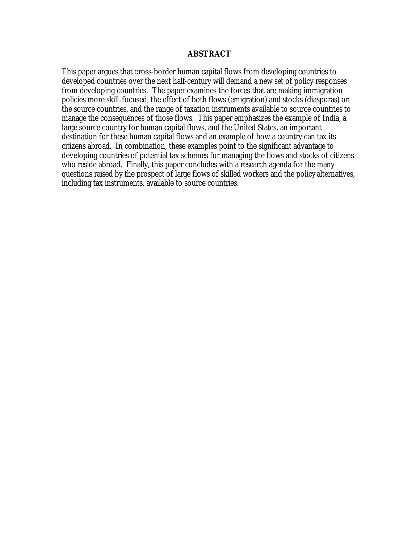## **ABSTRACT**

This paper argues that cross-border human capital flows from developing countries to developed countries over the next half-century will demand a new set of policy responses from developing countries. The paper examines the forces that are making immigration policies more skill-focused, the effect of both flows (emigration) and stocks (diasporas) on the source countries, and the range of taxation instruments available to source countries to manage the consequences of those flows. This paper emphasizes the example of India, a large source country for human capital flows, and the United States, an important destination for these human capital flows and an example of how a country can tax its citizens abroad. In combination, these examples point to the significant advantage to developing countries of potential tax schemes for managing the flows and stocks of citizens who reside abroad. Finally, this paper concludes with a research agenda for the many questions raised by the prospect of large flows of skilled workers and the policy alternatives, including tax instruments, available to source countries.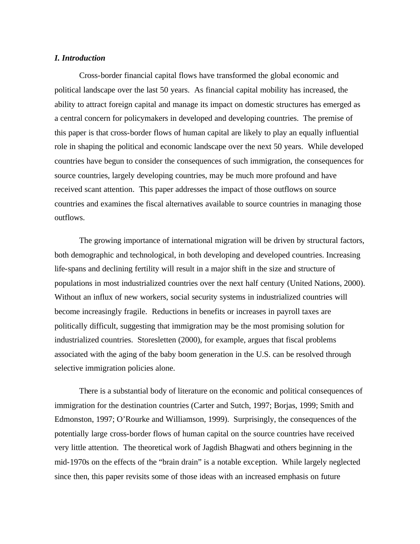## *I. Introduction*

Cross-border financial capital flows have transformed the global economic and political landscape over the last 50 years. As financial capital mobility has increased, the ability to attract foreign capital and manage its impact on domestic structures has emerged as a central concern for policymakers in developed and developing countries. The premise of this paper is that cross-border flows of human capital are likely to play an equally influential role in shaping the political and economic landscape over the next 50 years. While developed countries have begun to consider the consequences of such immigration, the consequences for source countries, largely developing countries, may be much more profound and have received scant attention. This paper addresses the impact of those outflows on source countries and examines the fiscal alternatives available to source countries in managing those outflows.

The growing importance of international migration will be driven by structural factors, both demographic and technological, in both developing and developed countries. Increasing life-spans and declining fertility will result in a major shift in the size and structure of populations in most industrialized countries over the next half century (United Nations, 2000). Without an influx of new workers, social security systems in industrialized countries will become increasingly fragile. Reductions in benefits or increases in payroll taxes are politically difficult, suggesting that immigration may be the most promising solution for industrialized countries. Storesletten (2000), for example, argues that fiscal problems associated with the aging of the baby boom generation in the U.S. can be resolved through selective immigration policies alone.

There is a substantial body of literature on the economic and political consequences of immigration for the destination countries (Carter and Sutch, 1997; Borjas, 1999; Smith and Edmonston, 1997; O'Rourke and Williamson, 1999). Surprisingly, the consequences of the potentially large cross-border flows of human capital on the source countries have received very little attention. The theoretical work of Jagdish Bhagwati and others beginning in the mid-1970s on the effects of the "brain drain" is a notable exception. While largely neglected since then, this paper revisits some of those ideas with an increased emphasis on future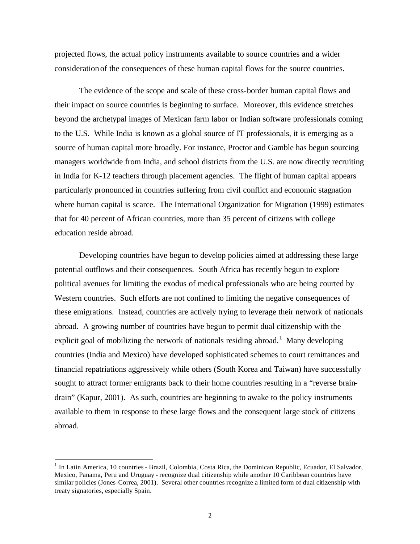projected flows, the actual policy instruments available to source countries and a wider consideration of the consequences of these human capital flows for the source countries.

The evidence of the scope and scale of these cross-border human capital flows and their impact on source countries is beginning to surface. Moreover, this evidence stretches beyond the archetypal images of Mexican farm labor or Indian software professionals coming to the U.S. While India is known as a global source of IT professionals, it is emerging as a source of human capital more broadly. For instance, Proctor and Gamble has begun sourcing managers worldwide from India, and school districts from the U.S. are now directly recruiting in India for K-12 teachers through placement agencies. The flight of human capital appears particularly pronounced in countries suffering from civil conflict and economic stagnation where human capital is scarce. The International Organization for Migration (1999) estimates that for 40 percent of African countries, more than 35 percent of citizens with college education reside abroad.

Developing countries have begun to develop policies aimed at addressing these large potential outflows and their consequences. South Africa has recently begun to explore political avenues for limiting the exodus of medical professionals who are being courted by Western countries. Such efforts are not confined to limiting the negative consequences of these emigrations. Instead, countries are actively trying to leverage their network of nationals abroad. A growing number of countries have begun to permit dual citizenship with the explicit goal of mobilizing the network of nationals residing abroad.<sup>1</sup> Many developing countries (India and Mexico) have developed sophisticated schemes to court remittances and financial repatriations aggressively while others (South Korea and Taiwan) have successfully sought to attract former emigrants back to their home countries resulting in a "reverse braindrain" (Kapur, 2001). As such, countries are beginning to awake to the policy instruments available to them in response to these large flows and the consequent large stock of citizens abroad.

<sup>&</sup>lt;sup>1</sup> In Latin America, 10 countries - Brazil, Colombia, Costa Rica, the Dominican Republic, Ecuador, El Salvador, Mexico, Panama, Peru and Uruguay - recognize dual citizenship while another 10 Caribbean countries have similar policies (Jones-Correa, 2001). Several other countries recognize a limited form of dual citizenship with treaty signatories, especially Spain.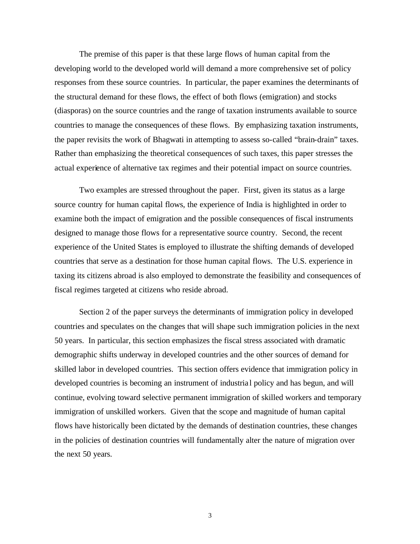The premise of this paper is that these large flows of human capital from the developing world to the developed world will demand a more comprehensive set of policy responses from these source countries. In particular, the paper examines the determinants of the structural demand for these flows, the effect of both flows (emigration) and stocks (diasporas) on the source countries and the range of taxation instruments available to source countries to manage the consequences of these flows. By emphasizing taxation instruments, the paper revisits the work of Bhagwati in attempting to assess so-called "brain-drain" taxes. Rather than emphasizing the theoretical consequences of such taxes, this paper stresses the actual experience of alternative tax regimes and their potential impact on source countries.

Two examples are stressed throughout the paper. First, given its status as a large source country for human capital flows, the experience of India is highlighted in order to examine both the impact of emigration and the possible consequences of fiscal instruments designed to manage those flows for a representative source country. Second, the recent experience of the United States is employed to illustrate the shifting demands of developed countries that serve as a destination for those human capital flows. The U.S. experience in taxing its citizens abroad is also employed to demonstrate the feasibility and consequences of fiscal regimes targeted at citizens who reside abroad.

Section 2 of the paper surveys the determinants of immigration policy in developed countries and speculates on the changes that will shape such immigration policies in the next 50 years. In particular, this section emphasizes the fiscal stress associated with dramatic demographic shifts underway in developed countries and the other sources of demand for skilled labor in developed countries. This section offers evidence that immigration policy in developed countries is becoming an instrument of industrial policy and has begun, and will continue, evolving toward selective permanent immigration of skilled workers and temporary immigration of unskilled workers. Given that the scope and magnitude of human capital flows have historically been dictated by the demands of destination countries, these changes in the policies of destination countries will fundamentally alter the nature of migration over the next 50 years.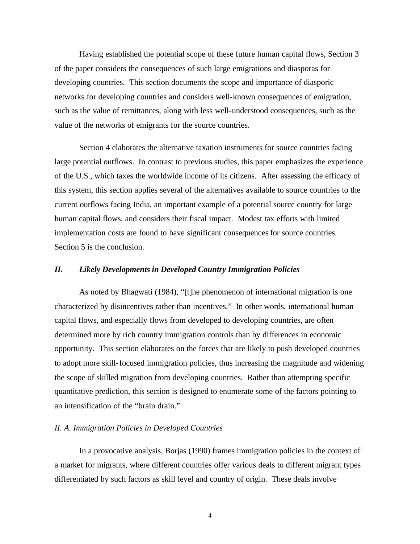Having established the potential scope of these future human capital flows, Section 3 of the paper considers the consequences of such large emigrations and diasporas for developing countries. This section documents the scope and importance of diasporic networks for developing countries and considers well-known consequences of emigration, such as the value of remittances, along with less well-understood consequences, such as the value of the networks of emigrants for the source countries.

Section 4 elaborates the alternative taxation instruments for source countries facing large potential outflows. In contrast to previous studies, this paper emphasizes the experience of the U.S., which taxes the worldwide income of its citizens. After assessing the efficacy of this system, this section applies several of the alternatives available to source countries to the current outflows facing India, an important example of a potential source country for large human capital flows, and considers their fiscal impact. Modest tax efforts with limited implementation costs are found to have significant consequences for source countries. Section 5 is the conclusion.

### *II. Likely Developments in Developed Country Immigration Policies*

As noted by Bhagwati (1984), "[t]he phenomenon of international migration is one characterized by disincentives rather than incentives." In other words, international human capital flows, and especially flows from developed to developing countries, are often determined more by rich country immigration controls than by differences in economic opportunity. This section elaborates on the forces that are likely to push developed countries to adopt more skill-focused immigration policies, thus increasing the magnitude and widening the scope of skilled migration from developing countries. Rather than attempting specific quantitative prediction, this section is designed to enumerate some of the factors pointing to an intensification of the "brain drain."

## *II. A. Immigration Policies in Developed Countries*

In a provocative analysis, Borjas (1990) frames immigration policies in the context of a market for migrants, where different countries offer various deals to different migrant types differentiated by such factors as skill level and country of origin. These deals involve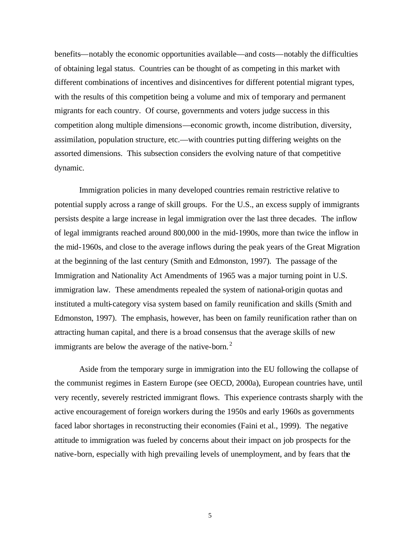benefits—notably the economic opportunities available—and costs—notably the difficulties of obtaining legal status. Countries can be thought of as competing in this market with different combinations of incentives and disincentives for different potential migrant types, with the results of this competition being a volume and mix of temporary and permanent migrants for each country. Of course, governments and voters judge success in this competition along multiple dimensions—economic growth, income distribution, diversity, assimilation, population structure, etc.—with countries putting differing weights on the assorted dimensions. This subsection considers the evolving nature of that competitive dynamic.

Immigration policies in many developed countries remain restrictive relative to potential supply across a range of skill groups. For the U.S., an excess supply of immigrants persists despite a large increase in legal immigration over the last three decades. The inflow of legal immigrants reached around 800,000 in the mid-1990s, more than twice the inflow in the mid-1960s, and close to the average inflows during the peak years of the Great Migration at the beginning of the last century (Smith and Edmonston, 1997). The passage of the Immigration and Nationality Act Amendments of 1965 was a major turning point in U.S. immigration law. These amendments repealed the system of national-origin quotas and instituted a multi-category visa system based on family reunification and skills (Smith and Edmonston, 1997). The emphasis, however, has been on family reunification rather than on attracting human capital, and there is a broad consensus that the average skills of new immigrants are below the average of the native-born.<sup>2</sup>

Aside from the temporary surge in immigration into the EU following the collapse of the communist regimes in Eastern Europe (see OECD, 2000a), European countries have, until very recently, severely restricted immigrant flows. This experience contrasts sharply with the active encouragement of foreign workers during the 1950s and early 1960s as governments faced labor shortages in reconstructing their economies (Faini et al., 1999). The negative attitude to immigration was fueled by concerns about their impact on job prospects for the native-born, especially with high prevailing levels of unemployment, and by fears that the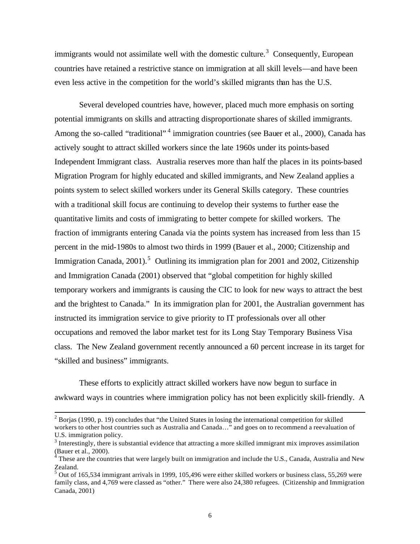immigrants would not assimilate well with the domestic culture.<sup>3</sup> Consequently, European countries have retained a restrictive stance on immigration at all skill levels—and have been even less active in the competition for the world's skilled migrants than has the U.S.

Several developed countries have, however, placed much more emphasis on sorting potential immigrants on skills and attracting disproportionate shares of skilled immigrants. Among the so-called "traditional"<sup>4</sup> immigration countries (see Bauer et al., 2000), Canada has actively sought to attract skilled workers since the late 1960s under its points-based Independent Immigrant class. Australia reserves more than half the places in its points-based Migration Program for highly educated and skilled immigrants, and New Zealand applies a points system to select skilled workers under its General Skills category. These countries with a traditional skill focus are continuing to develop their systems to further ease the quantitative limits and costs of immigrating to better compete for skilled workers. The fraction of immigrants entering Canada via the points system has increased from less than 15 percent in the mid-1980s to almost two thirds in 1999 (Bauer et al., 2000; Citizenship and Immigration Canada, 2001).<sup>5</sup> Outlining its immigration plan for 2001 and 2002, Citizenship and Immigration Canada (2001) observed that "global competition for highly skilled temporary workers and immigrants is causing the CIC to look for new ways to attract the best and the brightest to Canada." In its immigration plan for 2001, the Australian government has instructed its immigration service to give priority to IT professionals over all other occupations and removed the labor market test for its Long Stay Temporary Business Visa class. The New Zealand government recently announced a 60 percent increase in its target for "skilled and business" immigrants.

These efforts to explicitly attract skilled workers have now begun to surface in awkward ways in countries where immigration policy has not been explicitly skill-friendly. A

 $2^2$  Borjas (1990, p. 19) concludes that "the United States in losing the international competition for skilled workers to other host countries such as Australia and Canada…" and goes on to recommend a reevaluation of U.S. immigration policy.

 $3$  Interestingly, there is substantial evidence that attracting a more skilled immigrant mix improves assimilation (Bauer et al., 2000).

 $4$  These are the countries that were largely built on immigration and include the U.S., Canada, Australia and New Zealand.

 $5$  Out of 165,534 immigrant arrivals in 1999, 105,496 were either skilled workers or business class, 55,269 were family class, and 4,769 were classed as "other." There were also 24,380 refugees. (Citizenship and Immigration Canada, 2001)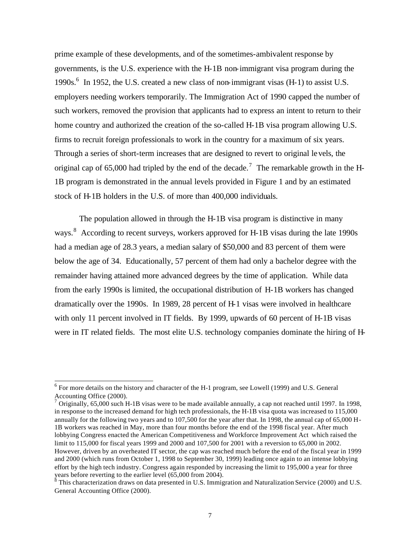prime example of these developments, and of the sometimes-ambivalent response by governments, is the U.S. experience with the H-1B non-immigrant visa program during the 1990s.<sup>6</sup> In 1952, the U.S. created a new class of non-immigrant visas (H-1) to assist U.S. employers needing workers temporarily. The Immigration Act of 1990 capped the number of such workers, removed the provision that applicants had to express an intent to return to their home country and authorized the creation of the so-called H-1B visa program allowing U.S. firms to recruit foreign professionals to work in the country for a maximum of six years. Through a series of short-term increases that are designed to revert to original levels, the original cap of 65,000 had tripled by the end of the decade.<sup>7</sup> The remarkable growth in the H-1B program is demonstrated in the annual levels provided in Figure 1 and by an estimated stock of H-1B holders in the U.S. of more than 400,000 individuals.

The population allowed in through the H-1B visa program is distinctive in many ways.<sup>8</sup> According to recent surveys, workers approved for H-1B visas during the late 1990s had a median age of 28.3 years, a median salary of \$50,000 and 83 percent of them were below the age of 34. Educationally, 57 percent of them had only a bachelor degree with the remainder having attained more advanced degrees by the time of application. While data from the early 1990s is limited, the occupational distribution of H-1B workers has changed dramatically over the 1990s. In 1989, 28 percent of H-1 visas were involved in healthcare with only 11 percent involved in IT fields. By 1999, upwards of 60 percent of H-1B visas were in IT related fields. The most elite U.S. technology companies dominate the hiring of H-

 $6$  For more details on the history and character of the H-1 program, see Lowell (1999) and U.S. General Accounting Office (2000).<br><sup>7</sup> Originally, 65,000 such H-1B visas were to be made available annually, a cap not reached until 1997. In 1998,

in response to the increased demand for high tech professionals, the H-1B visa quota was increased to 115,000 annually for the following two years and to 107,500 for the year after that. In 1998, the annual cap of 65,000 H-1B workers was reached in May, more than four months before the end of the 1998 fiscal year. After much lobbying Congress enacted the American Competitiveness and Workforce Improvement Act which raised the limit to 115,000 for fiscal years 1999 and 2000 and 107,500 for 2001 with a reversion to 65,000 in 2002. However, driven by an overheated IT sector, the cap was reached much before the end of the fiscal year in 1999 and 2000 (which runs from October 1, 1998 to September 30, 1999) leading once again to an intense lobbying effort by the high tech industry. Congress again responded by increasing the limit to 195,000 a year for three years before reverting to the earlier level (65,000 from 2004).<br><sup>8</sup> This characterization draws on data presented in U.S. Immigration and Naturalization Service (2000) and U.S.

General Accounting Office (2000).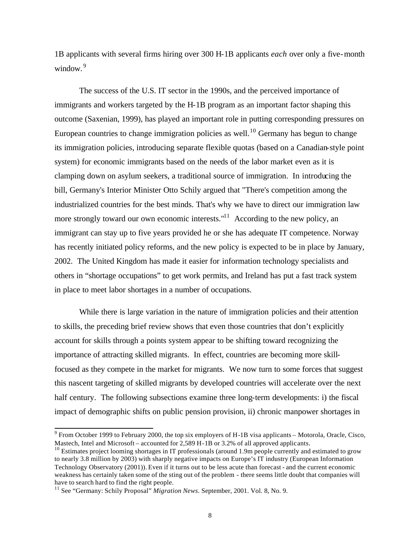1B applicants with several firms hiring over 300 H-1B applicants *each* over only a five-month window.<sup>9</sup>

The success of the U.S. IT sector in the 1990s, and the perceived importance of immigrants and workers targeted by the H-1B program as an important factor shaping this outcome (Saxenian, 1999), has played an important role in putting corresponding pressures on European countries to change immigration policies as well.<sup>10</sup> Germany has begun to change its immigration policies, introducing separate flexible quotas (based on a Canadian-style point system) for economic immigrants based on the needs of the labor market even as it is clamping down on asylum seekers, a traditional source of immigration. In introducing the bill, Germany's Interior Minister Otto Schily argued that "There's competition among the industrialized countries for the best minds. That's why we have to direct our immigration law more strongly toward our own economic interests."<sup>11</sup> According to the new policy, an immigrant can stay up to five years provided he or she has adequate IT competence. Norway has recently initiated policy reforms, and the new policy is expected to be in place by January, 2002. The United Kingdom has made it easier for information technology specialists and others in "shortage occupations" to get work permits, and Ireland has put a fast track system in place to meet labor shortages in a number of occupations.

While there is large variation in the nature of immigration policies and their attention to skills, the preceding brief review shows that even those countries that don't explicitly account for skills through a points system appear to be shifting toward recognizing the importance of attracting skilled migrants. In effect, countries are becoming more skillfocused as they compete in the market for migrants. We now turn to some forces that suggest this nascent targeting of skilled migrants by developed countries will accelerate over the next half century. The following subsections examine three long-term developments: i) the fiscal impact of demographic shifts on public pension provision, ii) chronic manpower shortages in

 9 From October 1999 to February 2000, the top six employers of H-1B visa applicants – Motorola, Oracle, Cisco, Mastech, Intel and Microsoft – accounted for 2,589 H-1B or 3.2% of all approved applicants.

<sup>&</sup>lt;sup>10</sup> Estimates project looming shortages in IT professionals (around 1.9m people currently and estimated to grow to nearly 3.8 million by 2003) with sharply negative impacts on Europe's IT industry (European Information Technology Observatory (2001)). Even if it turns out to be less acute than forecast - and the current economic weakness has certainly taken some of the sting out of the problem - there seems little doubt that companies will have to search hard to find the right people.

<sup>&</sup>lt;sup>11</sup> See "Germany: Schily Proposal" *Migration News*. September, 2001. Vol. 8, No. 9.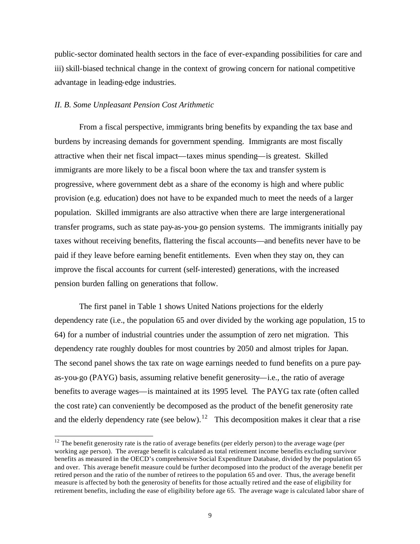public-sector dominated health sectors in the face of ever-expanding possibilities for care and iii) skill-biased technical change in the context of growing concern for national competitive advantage in leading-edge industries.

#### *II. B. Some Unpleasant Pension Cost Arithmetic*

l

From a fiscal perspective, immigrants bring benefits by expanding the tax base and burdens by increasing demands for government spending. Immigrants are most fiscally attractive when their net fiscal impact—taxes minus spending—is greatest. Skilled immigrants are more likely to be a fiscal boon where the tax and transfer system is progressive, where government debt as a share of the economy is high and where public provision (e.g. education) does not have to be expanded much to meet the needs of a larger population. Skilled immigrants are also attractive when there are large intergenerational transfer programs, such as state pay-as-you-go pension systems. The immigrants initially pay taxes without receiving benefits, flattering the fiscal accounts—and benefits never have to be paid if they leave before earning benefit entitlements. Even when they stay on, they can improve the fiscal accounts for current (self-interested) generations, with the increased pension burden falling on generations that follow.

The first panel in Table 1 shows United Nations projections for the elderly dependency rate (i.e., the population 65 and over divided by the working age population, 15 to 64) for a number of industrial countries under the assumption of zero net migration. This dependency rate roughly doubles for most countries by 2050 and almost triples for Japan. The second panel shows the tax rate on wage earnings needed to fund benefits on a pure payas-you-go (PAYG) basis, assuming relative benefit generosity—i.e., the ratio of average benefits to average wages—is maintained at its 1995 level. The PAYG tax rate (often called the cost rate) can conveniently be decomposed as the product of the benefit generosity rate and the elderly dependency rate (see below).<sup>12</sup> This decomposition makes it clear that a rise

 $12$  The benefit generosity rate is the ratio of average benefits (per elderly person) to the average wage (per working age person). The average benefit is calculated as total retirement income benefits excluding survivor benefits as measured in the OECD's comprehensive Social Expenditure Database, divided by the population 65 and over. This average benefit measure could be further decomposed into the product of the average benefit per retired person and the ratio of the number of retirees to the population 65 and over. Thus, the average benefit measure is affected by both the generosity of benefits for those actually retired and the ease of eligibility for retirement benefits, including the ease of eligibility before age 65. The average wage is calculated labor share of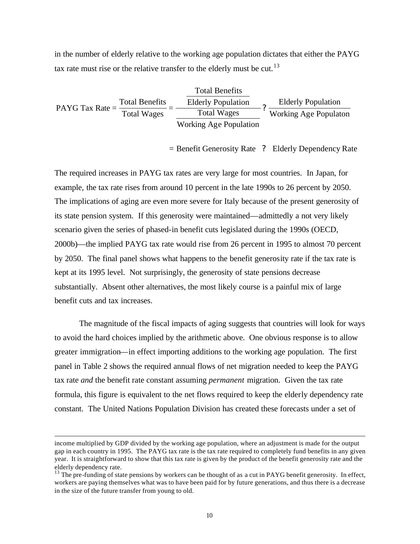in the number of elderly relative to the working age population dictates that either the PAYG tax rate must rise or the relative transfer to the elderly must be cut.<sup>13</sup>

PAYG Tax Rate = Total Benefits Total Wages = Total Benefits Elderly Population Total Wages Working Age Population Elderly Population Working Age Populaton ?

= Benefit Generosity Rate ? Elderly Dependency Rate

The required increases in PAYG tax rates are very large for most countries. In Japan, for example, the tax rate rises from around 10 percent in the late 1990s to 26 percent by 2050. The implications of aging are even more severe for Italy because of the present generosity of its state pension system. If this generosity were maintained—admittedly a not very likely scenario given the series of phased-in benefit cuts legislated during the 1990s (OECD, 2000b)—the implied PAYG tax rate would rise from 26 percent in 1995 to almost 70 percent by 2050. The final panel shows what happens to the benefit generosity rate if the tax rate is kept at its 1995 level. Not surprisingly, the generosity of state pensions decrease substantially. Absent other alternatives, the most likely course is a painful mix of large benefit cuts and tax increases.

The magnitude of the fiscal impacts of aging suggests that countries will look for ways to avoid the hard choices implied by the arithmetic above. One obvious response is to allow greater immigration—in effect importing additions to the working age population. The first panel in Table 2 shows the required annual flows of net migration needed to keep the PAYG tax rate *and* the benefit rate constant assuming *permanent* migration. Given the tax rate formula, this figure is equivalent to the net flows required to keep the elderly dependency rate constant. The United Nations Population Division has created these forecasts under a set of

income multiplied by GDP divided by the working age population, where an adjustment is made for the output gap in each country in 1995. The PAYG tax rate is the tax rate required to completely fund benefits in any given year. It is straightforward to show that this tax rate is given by the product of the benefit generosity rate and the elderly dependency rate.

<sup>&</sup>lt;sup>13</sup> The pre-funding of state pensions by workers can be thought of as a cut in PAYG benefit generosity. In effect, workers are paying themselves what was to have been paid for by future generations, and thus there is a decrease in the size of the future transfer from young to old.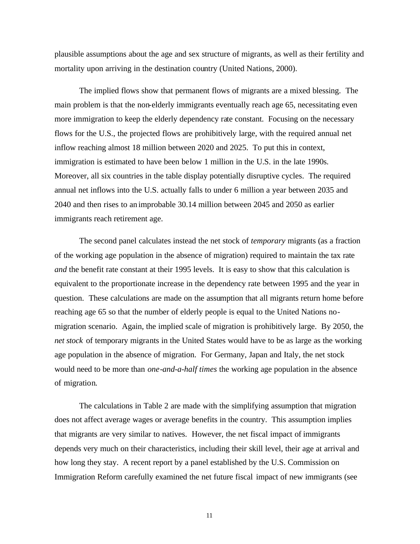plausible assumptions about the age and sex structure of migrants, as well as their fertility and mortality upon arriving in the destination country (United Nations, 2000).

The implied flows show that permanent flows of migrants are a mixed blessing. The main problem is that the non-elderly immigrants eventually reach age 65, necessitating even more immigration to keep the elderly dependency rate constant. Focusing on the necessary flows for the U.S., the projected flows are prohibitively large, with the required annual net inflow reaching almost 18 million between 2020 and 2025. To put this in context, immigration is estimated to have been below 1 million in the U.S. in the late 1990s. Moreover, all six countries in the table display potentially disruptive cycles. The required annual net inflows into the U.S. actually falls to under 6 million a year between 2035 and 2040 and then rises to an improbable 30.14 million between 2045 and 2050 as earlier immigrants reach retirement age.

The second panel calculates instead the net stock of *temporary* migrants (as a fraction of the working age population in the absence of migration) required to maintain the tax rate *and* the benefit rate constant at their 1995 levels. It is easy to show that this calculation is equivalent to the proportionate increase in the dependency rate between 1995 and the year in question. These calculations are made on the assumption that all migrants return home before reaching age 65 so that the number of elderly people is equal to the United Nations nomigration scenario. Again, the implied scale of migration is prohibitively large. By 2050, the *net stock* of temporary migrants in the United States would have to be as large as the working age population in the absence of migration. For Germany, Japan and Italy, the net stock would need to be more than *one-and-a-half times* the working age population in the absence of migration.

The calculations in Table 2 are made with the simplifying assumption that migration does not affect average wages or average benefits in the country. This assumption implies that migrants are very similar to natives. However, the net fiscal impact of immigrants depends very much on their characteristics, including their skill level, their age at arrival and how long they stay. A recent report by a panel established by the U.S. Commission on Immigration Reform carefully examined the net future fiscal impact of new immigrants (see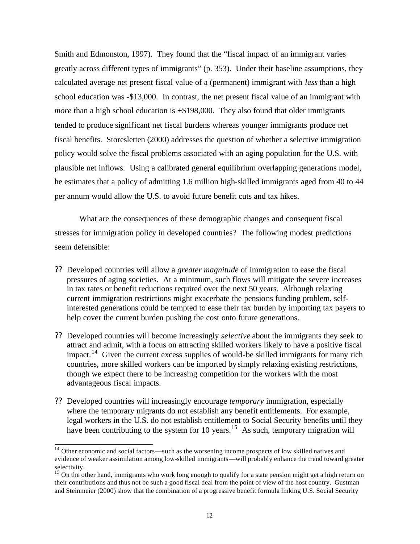Smith and Edmonston, 1997). They found that the "fiscal impact of an immigrant varies greatly across different types of immigrants" (p. 353). Under their baseline assumptions, they calculated average net present fiscal value of a (permanent) immigrant with *less* than a high school education was -\$13,000. In contrast, the net present fiscal value of an immigrant with *more* than a high school education is  $+\$198,000$ . They also found that older immigrants tended to produce significant net fiscal burdens whereas younger immigrants produce net fiscal benefits. Storesletten (2000) addresses the question of whether a selective immigration policy would solve the fiscal problems associated with an aging population for the U.S. with plausible net inflows. Using a calibrated general equilibrium overlapping generations model, he estimates that a policy of admitting 1.6 million high-skilled immigrants aged from 40 to 44 per annum would allow the U.S. to avoid future benefit cuts and tax hikes.

What are the consequences of these demographic changes and consequent fiscal stresses for immigration policy in developed countries? The following modest predictions seem defensible:

- ?? Developed countries will allow a *greater magnitude* of immigration to ease the fiscal pressures of aging societies. At a minimum, such flows will mitigate the severe increases in tax rates or benefit reductions required over the next 50 years. Although relaxing current immigration restrictions might exacerbate the pensions funding problem, selfinterested generations could be tempted to ease their tax burden by importing tax payers to help cover the current burden pushing the cost onto future generations.
- ?? Developed countries will become increasingly *selective* about the immigrants they seek to attract and admit, with a focus on attracting skilled workers likely to have a positive fiscal impact.<sup>14</sup> Given the current excess supplies of would-be skilled immigrants for many rich countries, more skilled workers can be imported by simply relaxing existing restrictions, though we expect there to be increasing competition for the workers with the most advantageous fiscal impacts.
- ?? Developed countries will increasingly encourage *temporary* immigration, especially where the temporary migrants do not establish any benefit entitlements. For example, legal workers in the U.S. do not establish entitlement to Social Security benefits until they have been contributing to the system for 10 years.<sup>15</sup> As such, temporary migration will

 $14$  Other economic and social factors—such as the worsening income prospects of low skilled natives and evidence of weaker assimilation among low-skilled immigrants—will probably enhance the trend toward greater selectivity.

<sup>&</sup>lt;sup>15</sup> On the other hand, immigrants who work long enough to qualify for a state pension might get a high return on their contributions and thus not be such a good fiscal deal from the point of view of the host country. Gustman and Steinmeier (2000) show that the combination of a progressive benefit formula linking U.S. Social Security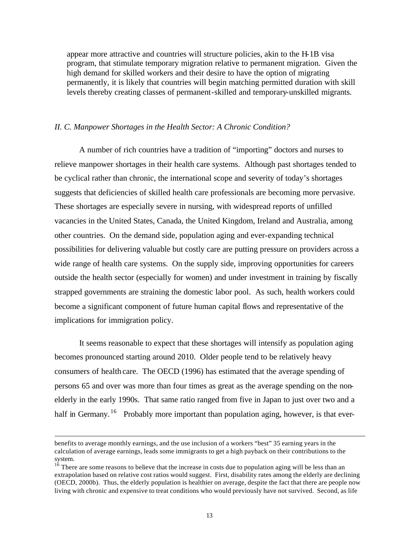appear more attractive and countries will structure policies, akin to the H-1B visa program, that stimulate temporary migration relative to permanent migration. Given the high demand for skilled workers and their desire to have the option of migrating permanently, it is likely that countries will begin matching permitted duration with skill levels thereby creating classes of permanent-skilled and temporary-unskilled migrants.

#### *II. C. Manpower Shortages in the Health Sector: A Chronic Condition?*

A number of rich countries have a tradition of "importing" doctors and nurses to relieve manpower shortages in their health care systems. Although past shortages tended to be cyclical rather than chronic, the international scope and severity of today's shortages suggests that deficiencies of skilled health care professionals are becoming more pervasive. These shortages are especially severe in nursing, with widespread reports of unfilled vacancies in the United States, Canada, the United Kingdom, Ireland and Australia, among other countries. On the demand side, population aging and ever-expanding technical possibilities for delivering valuable but costly care are putting pressure on providers across a wide range of health care systems. On the supply side, improving opportunities for careers outside the health sector (especially for women) and under investment in training by fiscally strapped governments are straining the domestic labor pool. As such, health workers could become a significant component of future human capital flows and representative of the implications for immigration policy.

It seems reasonable to expect that these shortages will intensify as population aging becomes pronounced starting around 2010. Older people tend to be relatively heavy consumers of health care. The OECD (1996) has estimated that the average spending of persons 65 and over was more than four times as great as the average spending on the nonelderly in the early 1990s. That same ratio ranged from five in Japan to just over two and a half in Germany. <sup>16</sup> Probably more important than population aging, however, is that ever-

benefits to average monthly earnings, and the use inclusion of a workers "best" 35 earning years in the calculation of average earnings, leads some immigrants to get a high payback on their contributions to the system.

<sup>&</sup>lt;sup>16</sup> There are some reasons to believe that the increase in costs due to population aging will be less than an extrapolation based on relative cost ratios would suggest. First, disability rates among the elderly are declining (OECD, 2000b). Thus, the elderly population is healthier on average, despite the fact that there are people now living with chronic and expensive to treat conditions who would previously have not survived. Second, as life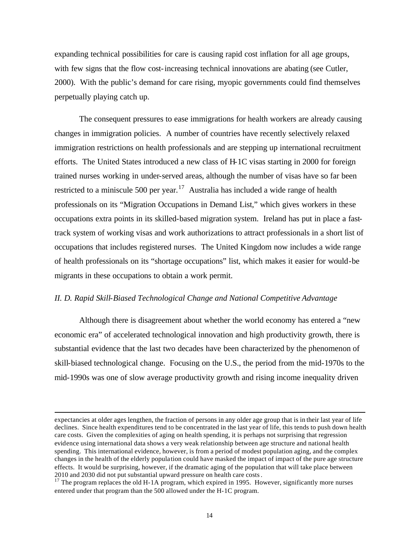expanding technical possibilities for care is causing rapid cost inflation for all age groups, with few signs that the flow cost-increasing technical innovations are abating (see Cutler, 2000). With the public's demand for care rising, myopic governments could find themselves perpetually playing catch up.

The consequent pressures to ease immigrations for health workers are already causing changes in immigration policies. A number of countries have recently selectively relaxed immigration restrictions on health professionals and are stepping up international recruitment efforts. The United States introduced a new class of H-1C visas starting in 2000 for foreign trained nurses working in under-served areas, although the number of visas have so far been restricted to a miniscule 500 per year.<sup>17</sup> Australia has included a wide range of health professionals on its "Migration Occupations in Demand List," which gives workers in these occupations extra points in its skilled-based migration system. Ireland has put in place a fasttrack system of working visas and work authorizations to attract professionals in a short list of occupations that includes registered nurses. The United Kingdom now includes a wide range of health professionals on its "shortage occupations" list, which makes it easier for would-be migrants in these occupations to obtain a work permit.

## *II. D. Rapid Skill-Biased Technological Change and National Competitive Advantage*

Although there is disagreement about whether the world economy has entered a "new economic era" of accelerated technological innovation and high productivity growth, there is substantial evidence that the last two decades have been characterized by the phenomenon of skill-biased technological change. Focusing on the U.S., the period from the mid-1970s to the mid-1990s was one of slow average productivity growth and rising income inequality driven

expectancies at older ages lengthen, the fraction of persons in any older age group that is in their last year of life declines. Since health expenditures tend to be concentrated in the last year of life, this tends to push down health care costs. Given the complexities of aging on health spending, it is perhaps not surprising that regression evidence using international data shows a very weak relationship between age structure and national health spending. This international evidence, however, is from a period of modest population aging, and the complex changes in the health of the elderly population could have masked the impact of impact of the pure age structure effects. It would be surprising, however, if the dramatic aging of the population that will take place between 2010 and 2030 did not put substantial upward pressure on health care costs.

<sup>&</sup>lt;sup>17</sup> The program replaces the old H-1A program, which expired in 1995. However, significantly more nurses entered under that program than the 500 allowed under the H-1C program.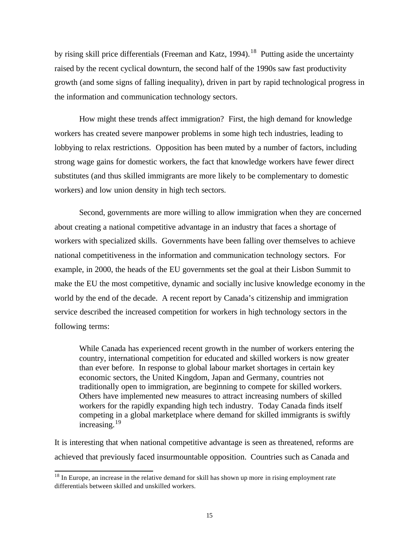by rising skill price differentials (Freeman and Katz, 1994).<sup>18</sup> Putting aside the uncertainty raised by the recent cyclical downturn, the second half of the 1990s saw fast productivity growth (and some signs of falling inequality), driven in part by rapid technological progress in the information and communication technology sectors.

How might these trends affect immigration? First, the high demand for knowledge workers has created severe manpower problems in some high tech industries, leading to lobbying to relax restrictions. Opposition has been muted by a number of factors, including strong wage gains for domestic workers, the fact that knowledge workers have fewer direct substitutes (and thus skilled immigrants are more likely to be complementary to domestic workers) and low union density in high tech sectors.

Second, governments are more willing to allow immigration when they are concerned about creating a national competitive advantage in an industry that faces a shortage of workers with specialized skills. Governments have been falling over themselves to achieve national competitiveness in the information and communication technology sectors. For example, in 2000, the heads of the EU governments set the goal at their Lisbon Summit to make the EU the most competitive, dynamic and socially inc lusive knowledge economy in the world by the end of the decade. A recent report by Canada's citizenship and immigration service described the increased competition for workers in high technology sectors in the following terms:

While Canada has experienced recent growth in the number of workers entering the country, international competition for educated and skilled workers is now greater than ever before. In response to global labour market shortages in certain key economic sectors, the United Kingdom, Japan and Germany, countries not traditionally open to immigration, are beginning to compete for skilled workers. Others have implemented new measures to attract increasing numbers of skilled workers for the rapidly expanding high tech industry. Today Canada finds itself competing in a global marketplace where demand for skilled immigrants is swiftly increasing.<sup>19</sup>

It is interesting that when national competitive advantage is seen as threatened, reforms are achieved that previously faced insurmountable opposition. Countries such as Canada and

 $18$  In Europe, an increase in the relative demand for skill has shown up more in rising employment rate differentials between skilled and unskilled workers.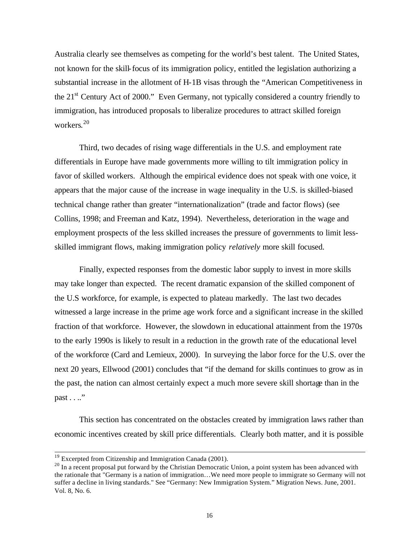Australia clearly see themselves as competing for the world's best talent. The United States, not known for the skill-focus of its immigration policy, entitled the legislation authorizing a substantial increase in the allotment of H-1B visas through the "American Competitiveness in the  $21<sup>st</sup>$  Century Act of 2000." Even Germany, not typically considered a country friendly to immigration, has introduced proposals to liberalize procedures to attract skilled foreign workers. 20

Third, two decades of rising wage differentials in the U.S. and employment rate differentials in Europe have made governments more willing to tilt immigration policy in favor of skilled workers. Although the empirical evidence does not speak with one voice, it appears that the major cause of the increase in wage inequality in the U.S. is skilled-biased technical change rather than greater "internationalization" (trade and factor flows) (see Collins, 1998; and Freeman and Katz, 1994). Nevertheless, deterioration in the wage and employment prospects of the less skilled increases the pressure of governments to limit lessskilled immigrant flows, making immigration policy *relatively* more skill focused.

Finally, expected responses from the domestic labor supply to invest in more skills may take longer than expected. The recent dramatic expansion of the skilled component of the U.S workforce, for example, is expected to plateau markedly. The last two decades witnessed a large increase in the prime age work force and a significant increase in the skilled fraction of that workforce. However, the slowdown in educational attainment from the 1970s to the early 1990s is likely to result in a reduction in the growth rate of the educational level of the workforce (Card and Lemieux, 2000). In surveying the labor force for the U.S. over the next 20 years, Ellwood (2001) concludes that "if the demand for skills continues to grow as in the past, the nation can almost certainly expect a much more severe skill shortage than in the past . . .."

This section has concentrated on the obstacles created by immigration laws rather than economic incentives created by skill price differentials. Clearly both matter, and it is possible

 $19$  Excerpted from Citizenship and Immigration Canada (2001).

<sup>&</sup>lt;sup>20</sup> In a recent proposal put forward by the Christian Democratic Union, a point system has been advanced with the rationale that "Germany is a nation of immigration…We need more people to immigrate so Germany will not suffer a decline in living standards." See "Germany: New Immigration System." Migration News. June, 2001. Vol. 8, No. 6.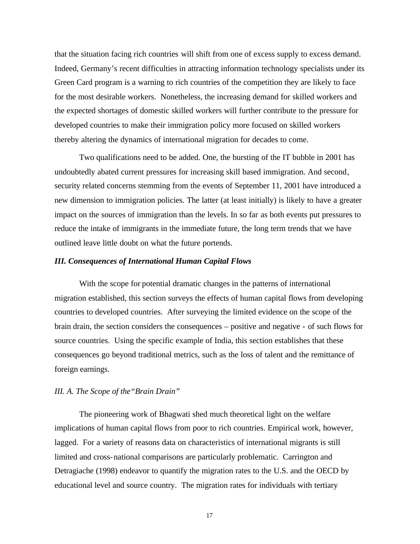that the situation facing rich countries will shift from one of excess supply to excess demand. Indeed, Germany's recent difficulties in attracting information technology specialists under its Green Card program is a warning to rich countries of the competition they are likely to face for the most desirable workers. Nonetheless, the increasing demand for skilled workers and the expected shortages of domestic skilled workers will further contribute to the pressure for developed countries to make their immigration policy more focused on skilled workers thereby altering the dynamics of international migration for decades to come.

Two qualifications need to be added. One, the bursting of the IT bubble in 2001 has undoubtedly abated current pressures for increasing skill based immigration. And second, security related concerns stemming from the events of September 11, 2001 have introduced a new dimension to immigration policies. The latter (at least initially) is likely to have a greater impact on the sources of immigration than the levels. In so far as both events put pressures to reduce the intake of immigrants in the immediate future, the long term trends that we have outlined leave little doubt on what the future portends.

### *III. Consequences of International Human Capital Flows*

With the scope for potential dramatic changes in the patterns of international migration established, this section surveys the effects of human capital flows from developing countries to developed countries. After surveying the limited evidence on the scope of the brain drain, the section considers the consequences – positive and negative - of such flows for source countries. Using the specific example of India, this section establishes that these consequences go beyond traditional metrics, such as the loss of talent and the remittance of foreign earnings.

### *III. A. The Scope of the"Brain Drain"*

The pioneering work of Bhagwati shed much theoretical light on the welfare implications of human capital flows from poor to rich countries. Empirical work, however, lagged. For a variety of reasons data on characteristics of international migrants is still limited and cross-national comparisons are particularly problematic. Carrington and Detragiache (1998) endeavor to quantify the migration rates to the U.S. and the OECD by educational level and source country. The migration rates for individuals with tertiary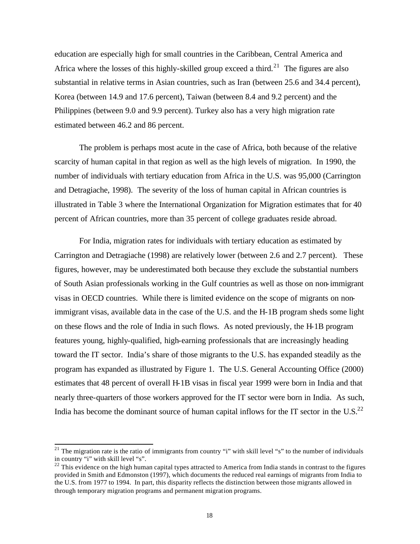education are especially high for small countries in the Caribbean, Central America and Africa where the losses of this highly-skilled group exceed a third.<sup>21</sup> The figures are also substantial in relative terms in Asian countries, such as Iran (between 25.6 and 34.4 percent), Korea (between 14.9 and 17.6 percent), Taiwan (between 8.4 and 9.2 percent) and the Philippines (between 9.0 and 9.9 percent). Turkey also has a very high migration rate estimated between 46.2 and 86 percent.

The problem is perhaps most acute in the case of Africa, both because of the relative scarcity of human capital in that region as well as the high levels of migration. In 1990, the number of individuals with tertiary education from Africa in the U.S. was 95,000 (Carrington and Detragiache, 1998). The severity of the loss of human capital in African countries is illustrated in Table 3 where the International Organization for Migration estimates that for 40 percent of African countries, more than 35 percent of college graduates reside abroad.

For India, migration rates for individuals with tertiary education as estimated by Carrington and Detragiache (1998) are relatively lower (between 2.6 and 2.7 percent). These figures, however, may be underestimated both because they exclude the substantial numbers of South Asian professionals working in the Gulf countries as well as those on non-immigrant visas in OECD countries. While there is limited evidence on the scope of migrants on nonimmigrant visas, available data in the case of the U.S. and the H-1B program sheds some light on these flows and the role of India in such flows. As noted previously, the H-1B program features young, highly-qualified, high-earning professionals that are increasingly heading toward the IT sector. India's share of those migrants to the U.S. has expanded steadily as the program has expanded as illustrated by Figure 1. The U.S. General Accounting Office (2000) estimates that 48 percent of overall H-1B visas in fiscal year 1999 were born in India and that nearly three-quarters of those workers approved for the IT sector were born in India. As such, India has become the dominant source of human capital inflows for the IT sector in the U.S. $^{22}$ 

<sup>&</sup>lt;sup>21</sup> The migration rate is the ratio of immigrants from country "i" with skill level "s" to the number of individuals in country "i" with skill level "s".

 $^{22}$  This evidence on the high human capital types attracted to America from India stands in contrast to the figures provided in Smith and Edmonston (1997), which documents the reduced real earnings of migrants from India to the U.S. from 1977 to 1994. In part, this disparity reflects the distinction between those migrants allowed in through temporary migration programs and permanent migration programs.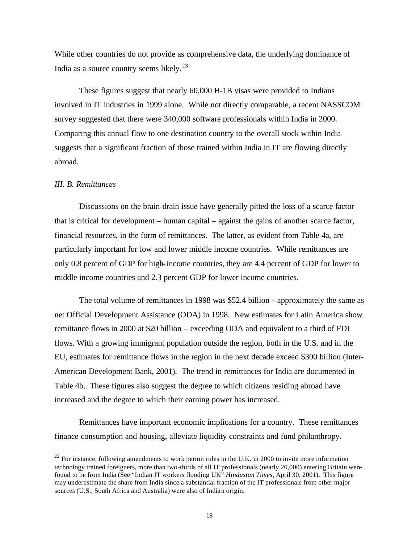While other countries do not provide as comprehensive data, the underlying dominance of India as a source country seems likely. $23$ 

These figures suggest that nearly 60,000 H-1B visas were provided to Indians involved in IT industries in 1999 alone. While not directly comparable, a recent NASSCOM survey suggested that there were 340,000 software professionals within India in 2000. Comparing this annual flow to one destination country to the overall stock within India suggests that a significant fraction of those trained within India in IT are flowing directly abroad.

#### *III. B. Remittances*

l

Discussions on the brain-drain issue have generally pitted the loss of a scarce factor that is critical for development – human capital – against the gains of another scarce factor, financial resources, in the form of remittances. The latter, as evident from Table 4a, are particularly important for low and lower middle income countries. While remittances are only 0.8 percent of GDP for high-income countries, they are 4.4 percent of GDP for lower to middle income countries and 2.3 percent GDP for lower income countries.

The total volume of remittances in 1998 was \$52.4 billion - approximately the same as net Official Development Assistance (ODA) in 1998. New estimates for Latin America show remittance flows in 2000 at \$20 billion – exceeding ODA and equivalent to a third of FDI flows. With a growing immigrant population outside the region, both in the U.S. and in the EU, estimates for remittance flows in the region in the next decade exceed \$300 billion (Inter-American Development Bank, 2001). The trend in remittances for India are documented in Table 4b. These figures also suggest the degree to which citizens residing abroad have increased and the degree to which their earning power has increased.

Remittances have important economic implications for a country. These remittances finance consumption and housing, alleviate liquidity constraints and fund philanthropy.

 $^{23}$  For instance, following amendments to work permit rules in the U.K. in 2000 to invite more information technology trained foreigners, more than two-thirds of all IT professionals (nearly 20,000) entering Britain were found to be from India (See "Indian IT workers flooding UK" *Hindustan Times*, April 30, 2001). This figure may underestimate the share from India since a substantial fraction of the IT professionals from other major sources (U.S., South Africa and Australia) were also of Indian origin.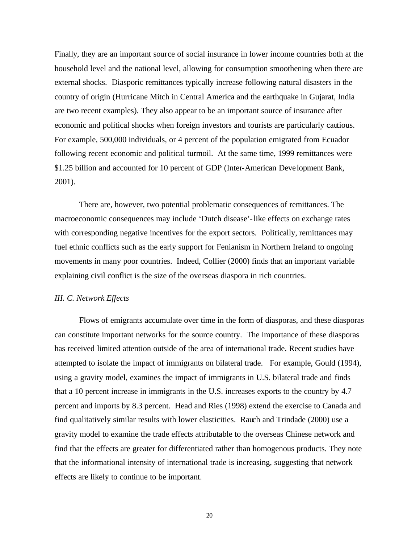Finally, they are an important source of social insurance in lower income countries both at the household level and the national level, allowing for consumption smoothening when there are external shocks. Diasporic remittances typically increase following natural disasters in the country of origin (Hurricane Mitch in Central America and the earthquake in Gujarat, India are two recent examples). They also appear to be an important source of insurance after economic and political shocks when foreign investors and tourists are particularly cautious. For example, 500,000 individuals, or 4 percent of the population emigrated from Ecuador following recent economic and political turmoil. At the same time, 1999 remittances were \$1.25 billion and accounted for 10 percent of GDP (Inter-American Development Bank, 2001).

There are, however, two potential problematic consequences of remittances. The macroeconomic consequences may include 'Dutch disease'-like effects on exchange rates with corresponding negative incentives for the export sectors. Politically, remittances may fuel ethnic conflicts such as the early support for Fenianism in Northern Ireland to ongoing movements in many poor countries. Indeed, Collier (2000) finds that an important variable explaining civil conflict is the size of the overseas diaspora in rich countries.

## *III. C. Network Effects*

Flows of emigrants accumulate over time in the form of diasporas, and these diasporas can constitute important networks for the source country. The importance of these diasporas has received limited attention outside of the area of international trade. Recent studies have attempted to isolate the impact of immigrants on bilateral trade. For example, Gould (1994), using a gravity model, examines the impact of immigrants in U.S. bilateral trade and finds that a 10 percent increase in immigrants in the U.S. increases exports to the country by 4.7 percent and imports by 8.3 percent. Head and Ries (1998) extend the exercise to Canada and find qualitatively similar results with lower elasticities. Rauch and Trindade (2000) use a gravity model to examine the trade effects attributable to the overseas Chinese network and find that the effects are greater for differentiated rather than homogenous products. They note that the informational intensity of international trade is increasing, suggesting that network effects are likely to continue to be important.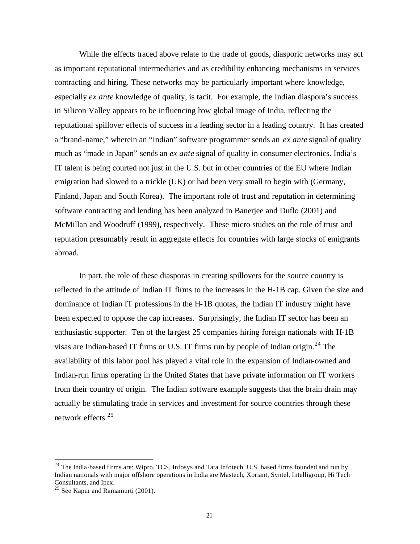While the effects traced above relate to the trade of goods, diasporic networks may act as important reputational intermediaries and as credibility enhancing mechanisms in services contracting and hiring. These networks may be particularly important where knowledge, especially *ex ante* knowledge of quality, is tacit. For example, the Indian diaspora's success in Silicon Valley appears to be influencing how global image of India, reflecting the reputational spillover effects of success in a leading sector in a leading country. It has created a "brand-name," wherein an "Indian" software programmer sends an *ex ante* signal of quality much as "made in Japan" sends an *ex ante* signal of quality in consumer electronics. India's IT talent is being courted not just in the U.S. but in other countries of the EU where Indian emigration had slowed to a trickle (UK) or had been very small to begin with (Germany, Finland, Japan and South Korea). The important role of trust and reputation in determining software contracting and lending has been analyzed in Banerjee and Duflo (2001) and McMillan and Woodruff (1999), respectively. These micro studies on the role of trust and reputation presumably result in aggregate effects for countries with large stocks of emigrants abroad.

In part, the role of these diasporas in creating spillovers for the source country is reflected in the attitude of Indian IT firms to the increases in the H-1B cap. Given the size and dominance of Indian IT professions in the H-1B quotas, the Indian IT industry might have been expected to oppose the cap increases. Surprisingly, the Indian IT sector has been an enthusiastic supporter. Ten of the la rgest 25 companies hiring foreign nationals with H-1B visas are Indian-based IT firms or U.S. IT firms run by people of Indian origin.<sup>24</sup> The availability of this labor pool has played a vital role in the expansion of Indian-owned and Indian-run firms operating in the United States that have private information on IT workers from their country of origin. The Indian software example suggests that the brain drain may actually be stimulating trade in services and investment for source countries through these network effects.<sup>25</sup>

<sup>&</sup>lt;sup>24</sup> The India-based firms are: Wipro, TCS, Infosys and Tata Infotech. U.S. based firms founded and run by Indian nationals with major offshore operations in India are Mastech, Xoriant, Syntel, Intelligroup, Hi Tech Consultants, and Ipex.

 $25$  See Kapur and Ramamurti (2001).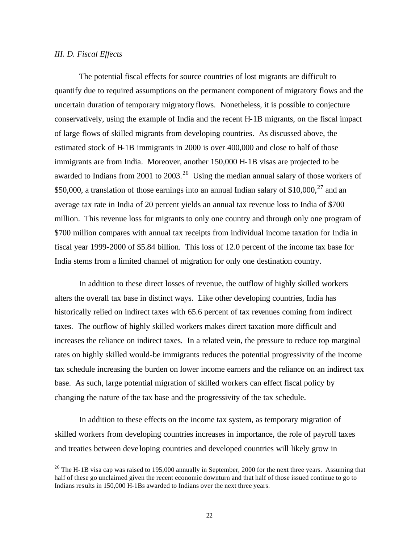#### *III. D. Fiscal Effects*

l

The potential fiscal effects for source countries of lost migrants are difficult to quantify due to required assumptions on the permanent component of migratory flows and the uncertain duration of temporary migratory flows. Nonetheless, it is possible to conjecture conservatively, using the example of India and the recent H-1B migrants, on the fiscal impact of large flows of skilled migrants from developing countries. As discussed above, the estimated stock of H-1B immigrants in 2000 is over 400,000 and close to half of those immigrants are from India. Moreover, another 150,000 H-1B visas are projected to be awarded to Indians from 2001 to 2003.<sup>26</sup> Using the median annual salary of those workers of \$50,000, a translation of those earnings into an annual Indian salary of  $$10,000$ ,  $^{27}$  and an average tax rate in India of 20 percent yields an annual tax revenue loss to India of \$700 million. This revenue loss for migrants to only one country and through only one program of \$700 million compares with annual tax receipts from individual income taxation for India in fiscal year 1999-2000 of \$5.84 billion. This loss of 12.0 percent of the income tax base for India stems from a limited channel of migration for only one destination country.

In addition to these direct losses of revenue, the outflow of highly skilled workers alters the overall tax base in distinct ways. Like other developing countries, India has historically relied on indirect taxes with 65.6 percent of tax revenues coming from indirect taxes. The outflow of highly skilled workers makes direct taxation more difficult and increases the reliance on indirect taxes. In a related vein, the pressure to reduce top marginal rates on highly skilled would-be immigrants reduces the potential progressivity of the income tax schedule increasing the burden on lower income earners and the reliance on an indirect tax base. As such, large potential migration of skilled workers can effect fiscal policy by changing the nature of the tax base and the progressivity of the tax schedule.

In addition to these effects on the income tax system, as temporary migration of skilled workers from developing countries increases in importance, the role of payroll taxes and treaties between deve loping countries and developed countries will likely grow in

 $^{26}$  The H-1B visa cap was raised to 195,000 annually in September, 2000 for the next three years. Assuming that half of these go unclaimed given the recent economic downturn and that half of those issued continue to go to Indians results in 150,000 H-1Bs awarded to Indians over the next three years.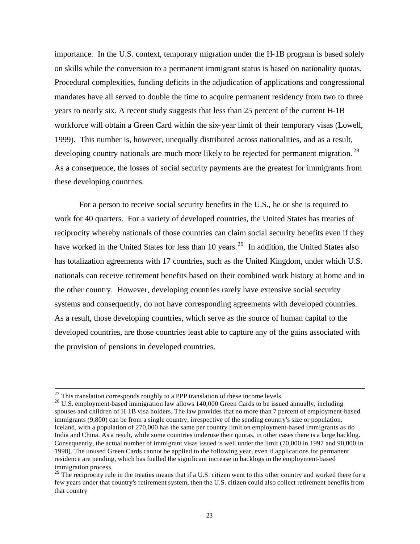importance. In the U.S. context, temporary migration under the H-1B program is based solely on skills while the conversion to a permanent immigrant status is based on nationality quotas. Procedural complexities, funding deficits in the adjudication of applications and congressional mandates have all served to double the time to acquire permanent residency from two to three years to nearly six. A recent study suggests that less than 25 percent of the current H-1B workforce will obtain a Green Card within the six-year limit of their temporary visas (Lowell, 1999). This number is, however, unequally distributed across nationalities, and as a result, developing country nationals are much more likely to be rejected for permanent migration.<sup>28</sup> As a consequence, the losses of social security payments are the greatest for immigrants from these developing countries.

For a person to receive social security benefits in the U.S., he or she is required to work for 40 quarters. For a variety of developed countries, the United States has treaties of reciprocity whereby nationals of those countries can claim social security benefits even if they have worked in the United States for less than 10 years.<sup>29</sup> In addition, the United States also has totalization agreements with 17 countries, such as the United Kingdom, under which U.S. nationals can receive retirement benefits based on their combined work history at home and in the other country. However, developing countries rarely have extensive social security systems and consequently, do not have corresponding agreements with developed countries. As a result, those developing countries, which serve as the source of human capital to the developed countries, are those countries least able to capture any of the gains associated with the provision of pensions in developed countries.

 $27$  This translation corresponds roughly to a PPP translation of these income levels.

<sup>&</sup>lt;sup>28</sup> U.S. employment-based immigration law allows 140,000 Green Cards to be issued annually, including spouses and children of H-1B visa holders. The law provides that no more than 7 percent of employment-based immigrants (9,800) can be from a single country, irrespective of the sending country's size or population. Iceland, with a population of 270,000 has the same per country limit on employment-based immigrants as do India and China. As a result, while some countries underuse their quotas, in other cases there is a large backlog. Consequently, the actual number of immigrant visas issued is well under the limit (70,000 in 1997 and 90,000 in 1998). The unused Green Cards cannot be applied to the following year, even if applications for permanent residence are pending, which has fuelled the significant increase in backlogs in the employment-based immigration process.

 $29$  The reciprocity rule in the treaties means that if a U.S. citizen went to this other country and worked there for a few years under that country's retirement system, then the U.S. citizen could also collect retirement benefits from that country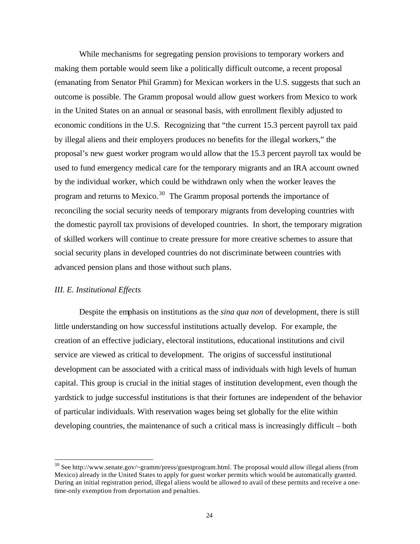While mechanisms for segregating pension provisions to temporary workers and making them portable would seem like a politically difficult outcome, a recent proposal (emanating from Senator Phil Gramm) for Mexican workers in the U.S. suggests that such an outcome is possible. The Gramm proposal would allow guest workers from Mexico to work in the United States on an annual or seasonal basis, with enrollment flexibly adjusted to economic conditions in the U.S. Recognizing that "the current 15.3 percent payroll tax paid by illegal aliens and their employers produces no benefits for the illegal workers," the proposal's new guest worker program would allow that the 15.3 percent payroll tax would be used to fund emergency medical care for the temporary migrants and an IRA account owned by the individual worker, which could be withdrawn only when the worker leaves the program and returns to Mexico.<sup>30</sup> The Gramm proposal portends the importance of reconciling the social security needs of temporary migrants from developing countries with the domestic payroll tax provisions of developed countries. In short, the temporary migration of skilled workers will continue to create pressure for more creative schemes to assure that social security plans in developed countries do not discriminate between countries with advanced pension plans and those without such plans.

#### *III. E. Institutional Effects*

l

Despite the emphasis on institutions as the *sina qua non* of development, there is still little understanding on how successful institutions actually develop. For example, the creation of an effective judiciary, electoral institutions, educational institutions and civil service are viewed as critical to development. The origins of successful institutional development can be associated with a critical mass of individuals with high levels of human capital. This group is crucial in the initial stages of institution development, even though the yardstick to judge successful institutions is that their fortunes are independent of the behavior of particular individuals. With reservation wages being set globally for the elite within developing countries, the maintenance of such a critical mass is increasingly difficult – both

 $30$  See http://www.senate.gov/~gramm/press/guestprogram.html. The proposal would allow illegal aliens (from Mexico) already in the United States to apply for guest worker permits which would be automatically granted. During an initial registration period, illegal aliens would be allowed to avail of these permits and receive a onetime-only exemption from deportation and penalties.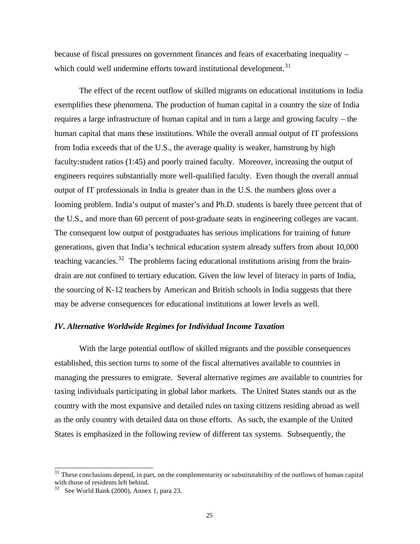because of fiscal pressures on government finances and fears of exacerbating inequality – which could well undermine efforts toward institutional development. $31$ 

The effect of the recent outflow of skilled migrants on educational institutions in India exemplifies these phenomena. The production of human capital in a country the size of India requires a large infrastructure of human capital and in turn a large and growing faculty – the human capital that mans these institutions. While the overall annual output of IT professions from India exceeds that of the U.S., the average quality is weaker, hamstrung by high faculty:student ratios (1:45) and poorly trained faculty. Moreover, increasing the output of engineers requires substantially more well-qualified faculty. Even though the overall annual output of IT professionals in India is greater than in the U.S. the numbers gloss over a looming problem. India's output of master's and Ph.D. students is barely three percent that of the U.S., and more than 60 percent of post-graduate seats in engineering colleges are vacant. The consequent low output of postgraduates has serious implications for training of future generations, given that India's technical education system already suffers from about 10,000 teaching vacancies.<sup>32</sup> The problems facing educational institutions arising from the braindrain are not confined to tertiary education. Given the low level of literacy in parts of India, the sourcing of K-12 teachers by American and British schools in India suggests that there may be adverse consequences for educational institutions at lower levels as well.

## *IV. Alternative Worldwide Regimes for Individual Income Taxation*

With the large potential outflow of skilled migrants and the possible consequences established, this section turns to some of the fiscal alternatives available to countries in managing the pressures to emigrate. Several alternative regimes are available to countries for taxing individuals participating in global labor markets. The United States stands out as the country with the most expansive and detailed rules on taxing citizens residing abroad as well as the only country with detailed data on those efforts. As such, the example of the United States is emphasized in the following review of different tax systems. Subsequently, the

 $31$  These conclusions depend, in part, on the complementarity or substitutability of the outflows of human capital with those of residents left behind.

 $32$  See World Bank (2000), Annex 1, para 23.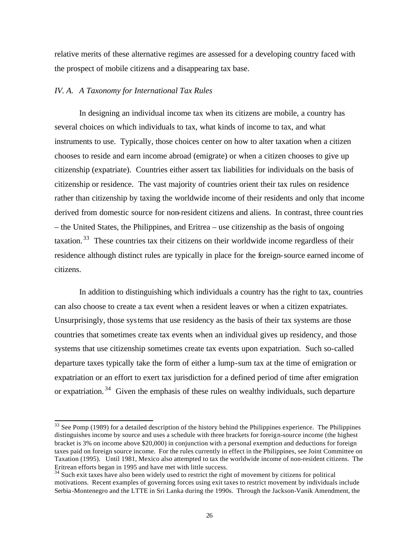relative merits of these alternative regimes are assessed for a developing country faced with the prospect of mobile citizens and a disappearing tax base.

## *IV. A. A Taxonomy for International Tax Rules*

l

In designing an individual income tax when its citizens are mobile, a country has several choices on which individuals to tax, what kinds of income to tax, and what instruments to use. Typically, those choices center on how to alter taxation when a citizen chooses to reside and earn income abroad (emigrate) or when a citizen chooses to give up citizenship (expatriate). Countries either assert tax liabilities for individuals on the basis of citizenship or residence. The vast majority of countries orient their tax rules on residence rather than citizenship by taxing the worldwide income of their residents and only that income derived from domestic source for non-resident citizens and aliens. In contrast, three countries – the United States, the Philippines, and Eritrea – use citizenship as the basis of ongoing taxation.  $33$  These countries tax their citizens on their worldwide income regardless of their residence although distinct rules are typically in place for the foreign-source earned income of citizens.

In addition to distinguishing which individuals a country has the right to tax, countries can also choose to create a tax event when a resident leaves or when a citizen expatriates. Unsurprisingly, those systems that use residency as the basis of their tax systems are those countries that sometimes create tax events when an individual gives up residency, and those systems that use citizenship sometimes create tax events upon expatriation. Such so-called departure taxes typically take the form of either a lump-sum tax at the time of emigration or expatriation or an effort to exert tax jurisdiction for a defined period of time after emigration or expatriation.<sup>34</sup> Given the emphasis of these rules on wealthy individuals, such departure

 $33$  See Pomp (1989) for a detailed description of the history behind the Philippines experience. The Philippines distinguishes income by source and uses a schedule with three brackets for foreign-source income (the highest bracket is 3% on income above \$20,000) in conjunction with a personal exemption and deductions for foreign taxes paid on foreign source income. For the rules currently in effect in the Philippines, see Joint Committee on Taxation (1995). Until 1981, Mexico also attempted to tax the worldwide income of non-resident citizens. The Eritrean efforts began in 1995 and have met with little success.

<sup>&</sup>lt;sup>34</sup> Such exit taxes have also been widely used to restrict the right of movement by citizens for political motivations. Recent examples of governing forces using exit taxes to restrict movement by individuals include Serbia -Montenegro and the LTTE in Sri Lanka during the 1990s. Through the Jackson-Vanik Amendment, the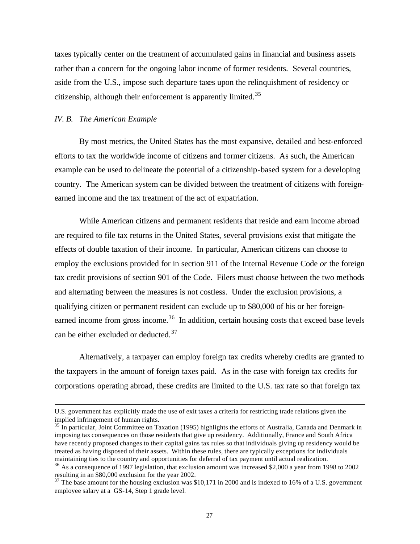taxes typically center on the treatment of accumulated gains in financial and business assets rather than a concern for the ongoing labor income of former residents. Several countries, aside from the U.S., impose such departure taxes upon the relinquishment of residency or citizenship, although their enforcement is apparently limited.<sup>35</sup>

## *IV. B. The American Example*

l

By most metrics, the United States has the most expansive, detailed and best-enforced efforts to tax the worldwide income of citizens and former citizens. As such, the American example can be used to delineate the potential of a citizenship-based system for a developing country. The American system can be divided between the treatment of citizens with foreignearned income and the tax treatment of the act of expatriation.

While American citizens and permanent residents that reside and earn income abroad are required to file tax returns in the United States, several provisions exist that mitigate the effects of double taxation of their income. In particular, American citizens can choose to employ the exclusions provided for in section 911 of the Internal Revenue Code *or* the foreign tax credit provisions of section 901 of the Code. Filers must choose between the two methods and alternating between the measures is not costless. Under the exclusion provisions, a qualifying citizen or permanent resident can exclude up to \$80,000 of his or her foreignearned income from gross income.<sup>36</sup> In addition, certain housing costs that exceed base levels can be either excluded or deducted.<sup>37</sup>

Alternatively, a taxpayer can employ foreign tax credits whereby credits are granted to the taxpayers in the amount of foreign taxes paid. As in the case with foreign tax credits for corporations operating abroad, these credits are limited to the U.S. tax rate so that foreign tax

U.S. government has explicitly made the use of exit taxes a criteria for restricting trade relations given the implied infringement of human rights.

<sup>&</sup>lt;sup>35</sup> In particular, Joint Committee on Taxation (1995) highlights the efforts of Australia, Canada and Denmark in imposing tax consequences on those residents that give up residency. Additionally, France and South Africa have recently proposed changes to their capital gains tax rules so that individuals giving up residency would be treated as having disposed of their assets. Within these rules, there are typically exceptions for individuals maintaining ties to the country and opportunities for deferral of tax payment until actual realization.

<sup>&</sup>lt;sup>36</sup> As a consequence of 1997 legislation, that exclusion amount was increased \$2,000 a year from 1998 to 2002 resulting in an \$80,000 exclusion for the year 2002.

 $37$  The base amount for the housing exclusion was \$10,171 in 2000 and is indexed to 16% of a U.S. government employee salary at a GS-14, Step 1 grade level.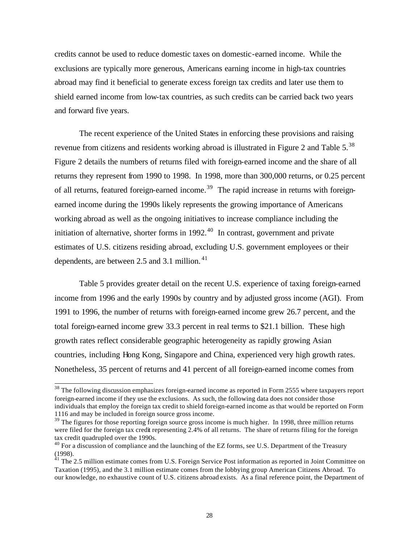credits cannot be used to reduce domestic taxes on domestic-earned income. While the exclusions are typically more generous, Americans earning income in high-tax countries abroad may find it beneficial to generate excess foreign tax credits and later use them to shield earned income from low-tax countries, as such credits can be carried back two years and forward five years.

The recent experience of the United States in enforcing these provisions and raising revenue from citizens and residents working abroad is illustrated in Figure 2 and Table  $5.^{38}$ Figure 2 details the numbers of returns filed with foreign-earned income and the share of all returns they represent from 1990 to 1998. In 1998, more than 300,000 returns, or 0.25 percent of all returns, featured foreign-earned income.<sup>39</sup> The rapid increase in returns with foreignearned income during the 1990s likely represents the growing importance of Americans working abroad as well as the ongoing initiatives to increase compliance including the initiation of alternative, shorter forms in  $1992<sup>40</sup>$  In contrast, government and private estimates of U.S. citizens residing abroad, excluding U.S. government employees or their dependents, are between 2.5 and 3.1 million.<sup>41</sup>

Table 5 provides greater detail on the recent U.S. experience of taxing foreign-earned income from 1996 and the early 1990s by country and by adjusted gross income (AGI). From 1991 to 1996, the number of returns with foreign-earned income grew 26.7 percent, and the total foreign-earned income grew 33.3 percent in real terms to \$21.1 billion. These high growth rates reflect considerable geographic heterogeneity as rapidly growing Asian countries, including Hong Kong, Singapore and China, experienced very high growth rates. Nonetheless, 35 percent of returns and 41 percent of all foreign-earned income comes from

 $38$  The following discussion emphasizes foreign-earned income as reported in Form 2555 where taxpayers report foreign-earned income if they use the exclusions. As such, the following data does not consider those individuals that employ the foreign tax credit to shield foreign-earned income as that would be reported on Form 1116 and may be included in foreign source gross income.

<sup>&</sup>lt;sup>39</sup> The figures for those reporting foreign source gross income is much higher. In 1998, three million returns were filed for the foreign tax credit representing 2.4% of all returns. The share of returns filing for the foreign tax credit quadrupled over the 1990s.

<sup>&</sup>lt;sup>40</sup> For a discussion of compliance and the launching of the EZ forms, see U.S. Department of the Treasury (1998).

 $41$  The 2.5 million estimate comes from U.S. Foreign Service Post information as reported in Joint Committee on Taxation (1995), and the 3.1 million estimate comes from the lobbying group American Citizens Abroad. To our knowledge, no exhaustive count of U.S. citizens abroad exists. As a final reference point, the Department of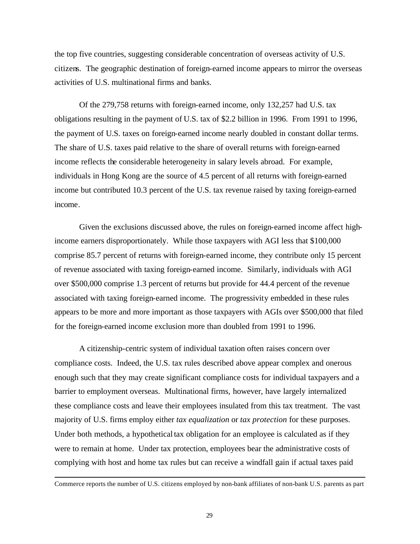the top five countries, suggesting considerable concentration of overseas activity of U.S. citizens. The geographic destination of foreign-earned income appears to mirror the overseas activities of U.S. multinational firms and banks.

Of the 279,758 returns with foreign-earned income, only 132,257 had U.S. tax obligations resulting in the payment of U.S. tax of \$2.2 billion in 1996. From 1991 to 1996, the payment of U.S. taxes on foreign-earned income nearly doubled in constant dollar terms. The share of U.S. taxes paid relative to the share of overall returns with foreign-earned income reflects the considerable heterogeneity in salary levels abroad. For example, individuals in Hong Kong are the source of 4.5 percent of all returns with foreign-earned income but contributed 10.3 percent of the U.S. tax revenue raised by taxing foreign-earned income.

Given the exclusions discussed above, the rules on foreign-earned income affect highincome earners disproportionately. While those taxpayers with AGI less that \$100,000 comprise 85.7 percent of returns with foreign-earned income, they contribute only 15 percent of revenue associated with taxing foreign-earned income. Similarly, individuals with AGI over \$500,000 comprise 1.3 percent of returns but provide for 44.4 percent of the revenue associated with taxing foreign-earned income. The progressivity embedded in these rules appears to be more and more important as those taxpayers with AGIs over \$500,000 that filed for the foreign-earned income exclusion more than doubled from 1991 to 1996.

A citizenship-centric system of individual taxation often raises concern over compliance costs. Indeed, the U.S. tax rules described above appear complex and onerous enough such that they may create significant compliance costs for individual taxpayers and a barrier to employment overseas. Multinational firms, however, have largely internalized these compliance costs and leave their employees insulated from this tax treatment. The vast majority of U.S. firms employ either *tax equalization* or *tax protection* for these purposes. Under both methods, a hypothetical tax obligation for an employee is calculated as if they were to remain at home. Under tax protection, employees bear the administrative costs of complying with host and home tax rules but can receive a windfall gain if actual taxes paid

Commerce reports the number of U.S. citizens employed by non-bank affiliates of non-bank U.S. parents as part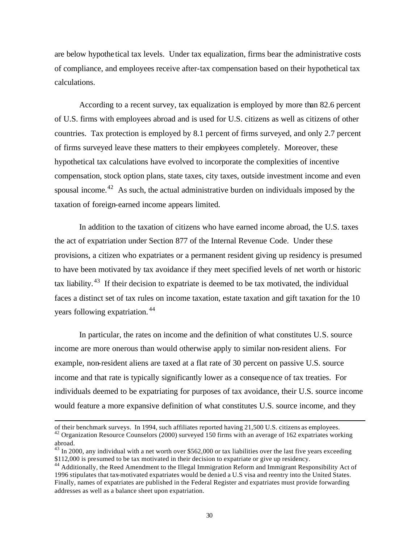are below hypothe tical tax levels. Under tax equalization, firms bear the administrative costs of compliance, and employees receive after-tax compensation based on their hypothetical tax calculations.

According to a recent survey, tax equalization is employed by more than 82.6 percent of U.S. firms with employees abroad and is used for U.S. citizens as well as citizens of other countries. Tax protection is employed by 8.1 percent of firms surveyed, and only 2.7 percent of firms surveyed leave these matters to their employees completely. Moreover, these hypothetical tax calculations have evolved to incorporate the complexities of incentive compensation, stock option plans, state taxes, city taxes, outside investment income and even spousal income.<sup>42</sup> As such, the actual administrative burden on individuals imposed by the taxation of foreign-earned income appears limited.

In addition to the taxation of citizens who have earned income abroad, the U.S. taxes the act of expatriation under Section 877 of the Internal Revenue Code. Under these provisions, a citizen who expatriates or a permanent resident giving up residency is presumed to have been motivated by tax avoidance if they meet specified levels of net worth or historic tax liability.<sup>43</sup> If their decision to expatriate is deemed to be tax motivated, the individual faces a distinct set of tax rules on income taxation, estate taxation and gift taxation for the 10 years following expatriation.<sup>44</sup>

In particular, the rates on income and the definition of what constitutes U.S. source income are more onerous than would otherwise apply to similar non-resident aliens. For example, non-resident aliens are taxed at a flat rate of 30 percent on passive U.S. source income and that rate is typically significantly lower as a consequence of tax treaties. For individuals deemed to be expatriating for purposes of tax avoidance, their U.S. source income would feature a more expansive definition of what constitutes U.S. source income, and they

of their benchmark surveys. In 1994, such affiliates reported having 21,500 U.S. citizens as employees.  $42$  Organization Resource Counselors (2000) surveyed 150 firms with an average of 162 expatriates working abroad.

 $^{43}$  In 2000, any individual with a net worth over \$562,000 or tax liabilities over the last five years exceeding \$112,000 is presumed to be tax motivated in their decision to expatriate or give up residency.

<sup>&</sup>lt;sup>44</sup> Additionally, the Reed Amendment to the Illegal Immigration Reform and Immigrant Responsibility Act of 1996 stipulates that tax-motivated expatriates would be denied a U.S visa and reentry into the United States. Finally, names of expatriates are published in the Federal Register and expatriates must provide forwarding addresses as well as a balance sheet upon expatriation.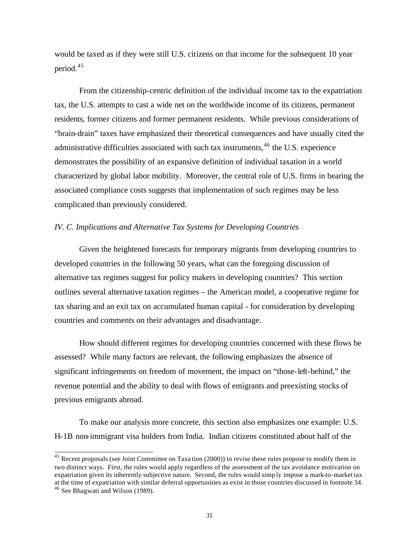would be taxed as if they were still U.S. citizens on that income for the subsequent 10 year period.<sup>45</sup>

From the citizenship-centric definition of the individual income tax to the expatriation tax, the U.S. attempts to cast a wide net on the worldwide income of its citizens, permanent residents, former citizens and former permanent residents. While previous considerations of "brain-drain" taxes have emphasized their theoretical consequences and have usually cited the administrative difficulties associated with such tax instruments,  $46$  the U.S. experience demonstrates the possibility of an expansive definition of individual taxation in a world characterized by global labor mobility. Moreover, the central role of U.S. firms in bearing the associated compliance costs suggests that implementation of such regimes may be less complicated than previously considered.

## *IV. C. Implications and Alternative Tax Systems for Developing Countries*

Given the heightened forecasts for temporary migrants from developing countries to developed countries in the following 50 years, what can the foregoing discussion of alternative tax regimes suggest for policy makers in developing countries? This section outlines several alternative taxation regimes – the American model, a cooperative regime for tax sharing and an exit tax on accumulated human capital - for consideration by developing countries and comments on their advantages and disadvantage.

How should different regimes for developing countries concerned with these flows be assessed? While many factors are relevant, the following emphasizes the absence of significant infringements on freedom of movement, the impact on "those-left-behind," the revenue potential and the ability to deal with flows of emigrants and preexisting stocks of previous emigrants abroad.

To make our analysis more concrete, this section also emphasizes one example: U.S. H-1B non-immigrant visa holders from India. Indian citizens constituted about half of the

<sup>&</sup>lt;sup>45</sup> Recent proposals (see Joint Committee on Taxa tion (2000)) to revise these rules propose to modify them in two distinct ways. First, the rules would apply regardless of the assessment of the tax avoidance motivation on expatriation given its inherently subjective nature. Second, the rules would simp ly impose a mark-to-market tax at the time of expatriation with similar deferral opportunities as exist in those countries discussed in footnote 34.

<sup>&</sup>lt;sup>46</sup> See Bhagwati and Wilson (1989).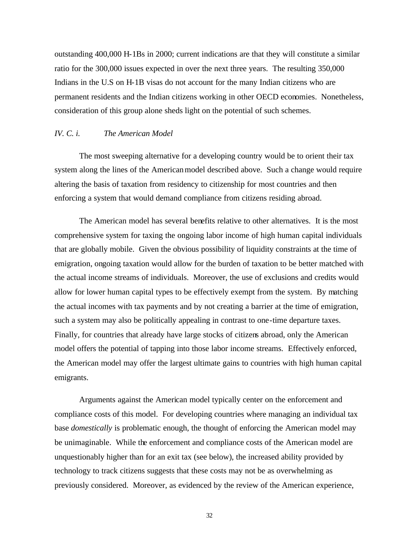outstanding 400,000 H-1Bs in 2000; current indications are that they will constitute a similar ratio for the 300,000 issues expected in over the next three years. The resulting 350,000 Indians in the U.S on H-1B visas do not account for the many Indian citizens who are permanent residents and the Indian citizens working in other OECD economies. Nonetheless, consideration of this group alone sheds light on the potential of such schemes.

# *IV. C. i. The American Model*

The most sweeping alternative for a developing country would be to orient their tax system along the lines of the American model described above. Such a change would require altering the basis of taxation from residency to citizenship for most countries and then enforcing a system that would demand compliance from citizens residing abroad.

The American model has several benefits relative to other alternatives. It is the most comprehensive system for taxing the ongoing labor income of high human capital individuals that are globally mobile. Given the obvious possibility of liquidity constraints at the time of emigration, ongoing taxation would allow for the burden of taxation to be better matched with the actual income streams of individuals. Moreover, the use of exclusions and credits would allow for lower human capital types to be effectively exempt from the system. By matching the actual incomes with tax payments and by not creating a barrier at the time of emigration, such a system may also be politically appealing in contrast to one-time departure taxes. Finally, for countries that already have large stocks of citizens abroad, only the American model offers the potential of tapping into those labor income streams. Effectively enforced, the American model may offer the largest ultimate gains to countries with high human capital emigrants.

Arguments against the American model typically center on the enforcement and compliance costs of this model. For developing countries where managing an individual tax base *domestically* is problematic enough, the thought of enforcing the American model may be unimaginable. While the enforcement and compliance costs of the American model are unquestionably higher than for an exit tax (see below), the increased ability provided by technology to track citizens suggests that these costs may not be as overwhelming as previously considered. Moreover, as evidenced by the review of the American experience,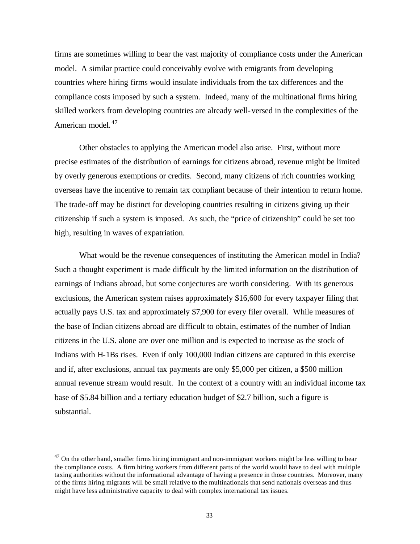firms are sometimes willing to bear the vast majority of compliance costs under the American model. A similar practice could conceivably evolve with emigrants from developing countries where hiring firms would insulate individuals from the tax differences and the compliance costs imposed by such a system. Indeed, many of the multinational firms hiring skilled workers from developing countries are already well-versed in the complexities of the American model.<sup>47</sup>

Other obstacles to applying the American model also arise. First, without more precise estimates of the distribution of earnings for citizens abroad, revenue might be limited by overly generous exemptions or credits. Second, many citizens of rich countries working overseas have the incentive to remain tax compliant because of their intention to return home. The trade-off may be distinct for developing countries resulting in citizens giving up their citizenship if such a system is imposed. As such, the "price of citizenship" could be set too high, resulting in waves of expatriation.

What would be the revenue consequences of instituting the American model in India? Such a thought experiment is made difficult by the limited information on the distribution of earnings of Indians abroad, but some conjectures are worth considering. With its generous exclusions, the American system raises approximately \$16,600 for every taxpayer filing that actually pays U.S. tax and approximately \$7,900 for every filer overall. While measures of the base of Indian citizens abroad are difficult to obtain, estimates of the number of Indian citizens in the U.S. alone are over one million and is expected to increase as the stock of Indians with H-1Bs rises. Even if only 100,000 Indian citizens are captured in this exercise and if, after exclusions, annual tax payments are only \$5,000 per citizen, a \$500 million annual revenue stream would result. In the context of a country with an individual income tax base of \$5.84 billion and a tertiary education budget of \$2.7 billion, such a figure is substantial.

 $47$  On the other hand, smaller firms hiring immigrant and non-immigrant workers might be less willing to bear the compliance costs. A firm hiring workers from different parts of the world would have to deal with multiple taxing authorities without the informational advantage of having a presence in those countries. Moreover, many of the firms hiring migrants will be small relative to the multinationals that send nationals overseas and thus might have less administrative capacity to deal with complex international tax issues.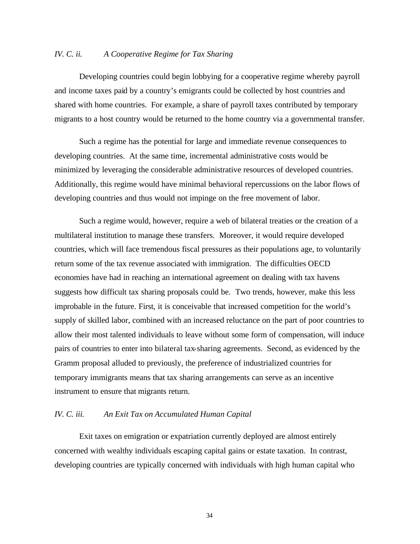## *IV. C. ii. A Cooperative Regime for Tax Sharing*

Developing countries could begin lobbying for a cooperative regime whereby payroll and income taxes paid by a country's emigrants could be collected by host countries and shared with home countries. For example, a share of payroll taxes contributed by temporary migrants to a host country would be returned to the home country via a governmental transfer.

Such a regime has the potential for large and immediate revenue consequences to developing countries. At the same time, incremental administrative costs would be minimized by leveraging the considerable administrative resources of developed countries. Additionally, this regime would have minimal behavioral repercussions on the labor flows of developing countries and thus would not impinge on the free movement of labor.

Such a regime would, however, require a web of bilateral treaties or the creation of a multilateral institution to manage these transfers. Moreover, it would require developed countries, which will face tremendous fiscal pressures as their populations age, to voluntarily return some of the tax revenue associated with immigration. The difficulties OECD economies have had in reaching an international agreement on dealing with tax havens suggests how difficult tax sharing proposals could be. Two trends, however, make this less improbable in the future. First, it is conceivable that increased competition for the world's supply of skilled labor, combined with an increased reluctance on the part of poor countries to allow their most talented individuals to leave without some form of compensation, will induce pairs of countries to enter into bilateral tax-sharing agreements. Second, as evidenced by the Gramm proposal alluded to previously, the preference of industrialized countries for temporary immigrants means that tax sharing arrangements can serve as an incentive instrument to ensure that migrants return.

## *IV. C. iii. An Exit Tax on Accumulated Human Capital*

Exit taxes on emigration or expatriation currently deployed are almost entirely concerned with wealthy individuals escaping capital gains or estate taxation. In contrast, developing countries are typically concerned with individuals with high human capital who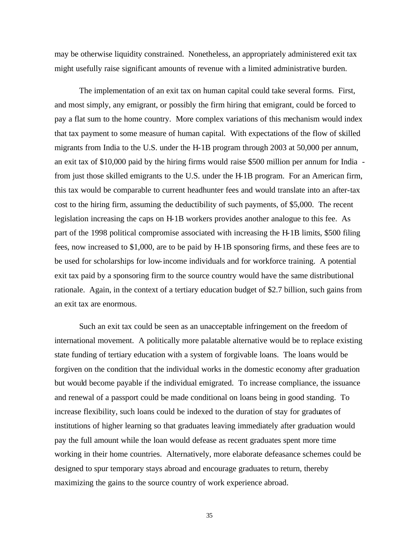may be otherwise liquidity constrained. Nonetheless, an appropriately administered exit tax might usefully raise significant amounts of revenue with a limited administrative burden.

The implementation of an exit tax on human capital could take several forms. First, and most simply, any emigrant, or possibly the firm hiring that emigrant, could be forced to pay a flat sum to the home country. More complex variations of this mechanism would index that tax payment to some measure of human capital. With expectations of the flow of skilled migrants from India to the U.S. under the H-1B program through 2003 at 50,000 per annum, an exit tax of \$10,000 paid by the hiring firms would raise \$500 million per annum for India from just those skilled emigrants to the U.S. under the H-1B program. For an American firm, this tax would be comparable to current headhunter fees and would translate into an after-tax cost to the hiring firm, assuming the deductibility of such payments, of \$5,000. The recent legislation increasing the caps on H-1B workers provides another analogue to this fee. As part of the 1998 political compromise associated with increasing the H-1B limits, \$500 filing fees, now increased to \$1,000, are to be paid by H-1B sponsoring firms, and these fees are to be used for scholarships for low-income individuals and for workforce training. A potential exit tax paid by a sponsoring firm to the source country would have the same distributional rationale. Again, in the context of a tertiary education budget of \$2.7 billion, such gains from an exit tax are enormous.

Such an exit tax could be seen as an unacceptable infringement on the freedom of international movement. A politically more palatable alternative would be to replace existing state funding of tertiary education with a system of forgivable loans. The loans would be forgiven on the condition that the individual works in the domestic economy after graduation but would become payable if the individual emigrated. To increase compliance, the issuance and renewal of a passport could be made conditional on loans being in good standing. To increase flexibility, such loans could be indexed to the duration of stay for graduates of institutions of higher learning so that graduates leaving immediately after graduation would pay the full amount while the loan would defease as recent graduates spent more time working in their home countries. Alternatively, more elaborate defeasance schemes could be designed to spur temporary stays abroad and encourage graduates to return, thereby maximizing the gains to the source country of work experience abroad.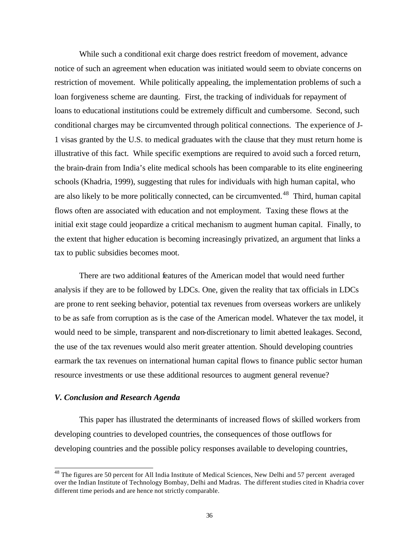While such a conditional exit charge does restrict freedom of movement, advance notice of such an agreement when education was initiated would seem to obviate concerns on restriction of movement. While politically appealing, the implementation problems of such a loan forgiveness scheme are daunting. First, the tracking of individuals for repayment of loans to educational institutions could be extremely difficult and cumbersome. Second, such conditional charges may be circumvented through political connections. The experience of J-1 visas granted by the U.S. to medical graduates with the clause that they must return home is illustrative of this fact. While specific exemptions are required to avoid such a forced return, the brain-drain from India's elite medical schools has been comparable to its elite engineering schools (Khadria, 1999), suggesting that rules for individuals with high human capital, who are also likely to be more politically connected, can be circumvented.<sup>48</sup> Third, human capital flows often are associated with education and not employment. Taxing these flows at the initial exit stage could jeopardize a critical mechanism to augment human capital. Finally, to the extent that higher education is becoming increasingly privatized, an argument that links a tax to public subsidies becomes moot.

There are two additional features of the American model that would need further analysis if they are to be followed by LDCs. One, given the reality that tax officials in LDCs are prone to rent seeking behavior, potential tax revenues from overseas workers are unlikely to be as safe from corruption as is the case of the American model. Whatever the tax model, it would need to be simple, transparent and non-discretionary to limit abetted leakages. Second, the use of the tax revenues would also merit greater attention. Should developing countries earmark the tax revenues on international human capital flows to finance public sector human resource investments or use these additional resources to augment general revenue?

## *V. Conclusion and Research Agenda*

l

This paper has illustrated the determinants of increased flows of skilled workers from developing countries to developed countries, the consequences of those outflows for developing countries and the possible policy responses available to developing countries,

<sup>&</sup>lt;sup>48</sup> The figures are 50 percent for All India Institute of Medical Sciences, New Delhi and 57 percent averaged over the Indian Institute of Technology Bombay, Delhi and Madras. The different studies cited in Khadria cover different time periods and are hence not strictly comparable.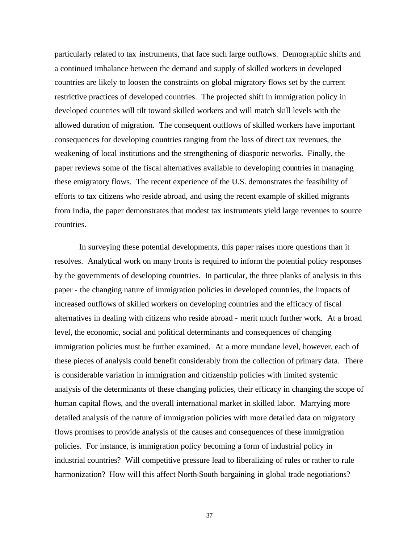particularly related to tax instruments, that face such large outflows. Demographic shifts and a continued imbalance between the demand and supply of skilled workers in developed countries are likely to loosen the constraints on global migratory flows set by the current restrictive practices of developed countries. The projected shift in immigration policy in developed countries will tilt toward skilled workers and will match skill levels with the allowed duration of migration. The consequent outflows of skilled workers have important consequences for developing countries ranging from the loss of direct tax revenues, the weakening of local institutions and the strengthening of diasporic networks. Finally, the paper reviews some of the fiscal alternatives available to developing countries in managing these emigratory flows. The recent experience of the U.S. demonstrates the feasibility of efforts to tax citizens who reside abroad, and using the recent example of skilled migrants from India, the paper demonstrates that modest tax instruments yield large revenues to source countries.

In surveying these potential developments, this paper raises more questions than it resolves. Analytical work on many fronts is required to inform the potential policy responses by the governments of developing countries. In particular, the three planks of analysis in this paper - the changing nature of immigration policies in developed countries, the impacts of increased outflows of skilled workers on developing countries and the efficacy of fiscal alternatives in dealing with citizens who reside abroad - merit much further work. At a broad level, the economic, social and political determinants and consequences of changing immigration policies must be further examined. At a more mundane level, however, each of these pieces of analysis could benefit considerably from the collection of primary data. There is considerable variation in immigration and citizenship policies with limited systemic analysis of the determinants of these changing policies, their efficacy in changing the scope of human capital flows, and the overall international market in skilled labor. Marrying more detailed analysis of the nature of immigration policies with more detailed data on migratory flows promises to provide analysis of the causes and consequences of these immigration policies. For instance, is immigration policy becoming a form of industrial policy in industrial countries? Will competitive pressure lead to liberalizing of rules or rather to rule harmonization? How will this affect North-South bargaining in global trade negotiations?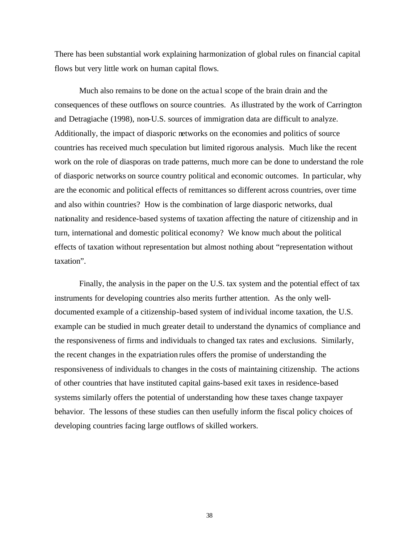There has been substantial work explaining harmonization of global rules on financial capital flows but very little work on human capital flows.

Much also remains to be done on the actua l scope of the brain drain and the consequences of these outflows on source countries. As illustrated by the work of Carrington and Detragiache (1998), non-U.S. sources of immigration data are difficult to analyze. Additionally, the impact of diasporic networks on the economies and politics of source countries has received much speculation but limited rigorous analysis. Much like the recent work on the role of diasporas on trade patterns, much more can be done to understand the role of diasporic networks on source country political and economic outcomes. In particular, why are the economic and political effects of remittances so different across countries, over time and also within countries? How is the combination of large diasporic networks, dual nationality and residence-based systems of taxation affecting the nature of citizenship and in turn, international and domestic political economy? We know much about the political effects of taxation without representation but almost nothing about "representation without taxation".

Finally, the analysis in the paper on the U.S. tax system and the potential effect of tax instruments for developing countries also merits further attention. As the only welldocumented example of a citizenship-based system of individual income taxation, the U.S. example can be studied in much greater detail to understand the dynamics of compliance and the responsiveness of firms and individuals to changed tax rates and exclusions. Similarly, the recent changes in the expatriation rules offers the promise of understanding the responsiveness of individuals to changes in the costs of maintaining citizenship. The actions of other countries that have instituted capital gains-based exit taxes in residence-based systems similarly offers the potential of understanding how these taxes change taxpayer behavior. The lessons of these studies can then usefully inform the fiscal policy choices of developing countries facing large outflows of skilled workers.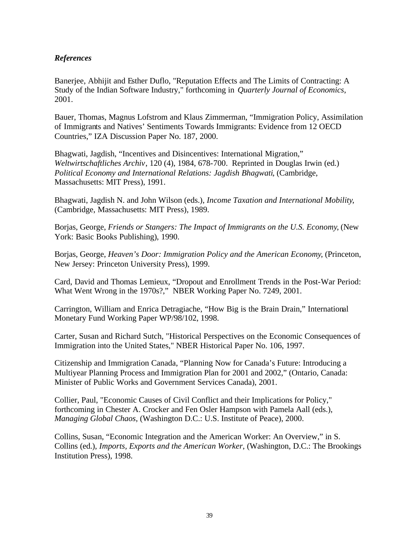# *References*

Banerjee, Abhijit and Esther Duflo, "Reputation Effects and The Limits of Contracting: A Study of the Indian Software Industry," forthcoming in *Quarterly Journal of Economics*, 2001.

Bauer, Thomas, Magnus Lofstrom and Klaus Zimmerman, "Immigration Policy, Assimilation of Immigrants and Natives' Sentiments Towards Immigrants: Evidence from 12 OECD Countries," IZA Discussion Paper No. 187, 2000.

Bhagwati, Jagdish, "Incentives and Disincentives: International Migration," *Weltwirtschaftliches Archiv*, 120 (4), 1984, 678-700. Reprinted in Douglas Irwin (ed.) *Political Economy and International Relations: Jagdish Bhagwati*, (Cambridge, Massachusetts: MIT Press), 1991.

Bhagwati, Jagdish N. and John Wilson (eds.), *Income Taxation and International Mobility*, (Cambridge, Massachusetts: MIT Press), 1989.

Borjas, George, *Friends or Stangers: The Impact of Immigrants on the U.S. Economy*, (New York: Basic Books Publishing), 1990.

Borjas, George, *Heaven's Door: Immigration Policy and the American Economy*, (Princeton, New Jersey: Princeton University Press), 1999.

Card, David and Thomas Lemieux, "Dropout and Enrollment Trends in the Post-War Period: What Went Wrong in the 1970s?," NBER Working Paper No. 7249, 2001.

Carrington, William and Enrica Detragiache, "How Big is the Brain Drain," International Monetary Fund Working Paper WP/98/102, 1998.

Carter, Susan and Richard Sutch, "Historical Perspectives on the Economic Consequences of Immigration into the United States," NBER Historical Paper No. 106, 1997.

Citizenship and Immigration Canada, "Planning Now for Canada's Future: Introducing a Multiyear Planning Process and Immigration Plan for 2001 and 2002," (Ontario, Canada: Minister of Public Works and Government Services Canada), 2001.

Collier, Paul, "Economic Causes of Civil Conflict and their Implications for Policy," forthcoming in Chester A. Crocker and Fen Osler Hampson with Pamela Aall (eds.), *Managing Global Chaos*, (Washington D.C.: U.S. Institute of Peace), 2000.

Collins, Susan, "Economic Integration and the American Worker: An Overview," in S. Collins (ed.), *Imports, Exports and the American Worker*, (Washington, D.C.: The Brookings Institution Press), 1998.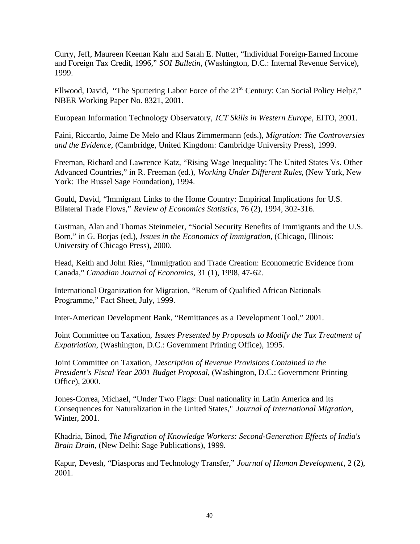Curry, Jeff, Maureen Keenan Kahr and Sarah E. Nutter, "Individual Foreign-Earned Income and Foreign Tax Credit, 1996," *SOI Bulletin*, (Washington, D.C.: Internal Revenue Service), 1999.

Ellwood, David, "The Sputtering Labor Force of the  $21<sup>st</sup>$  Century: Can Social Policy Help?," NBER Working Paper No. 8321, 2001.

European Information Technology Observatory, *ICT Skills in Western Europe*, EITO, 2001.

Faini, Riccardo, Jaime De Melo and Klaus Zimmermann (eds.), *Migration: The Controversies and the Evidence*, (Cambridge, United Kingdom: Cambridge University Press), 1999.

Freeman, Richard and Lawrence Katz, "Rising Wage Inequality: The United States Vs. Other Advanced Countries," in R. Freeman (ed.), *Working Under Different Rules*, (New York, New York: The Russel Sage Foundation), 1994.

Gould, David, "Immigrant Links to the Home Country: Empirical Implications for U.S. Bilateral Trade Flows," *Review of Economics Statistics*, 76 (2), 1994, 302-316.

Gustman, Alan and Thomas Steinmeier, "Social Security Benefits of Immigrants and the U.S. Born," in G. Borjas (ed.), *Issues in the Economics of Immigration*, (Chicago, Illinois: University of Chicago Press), 2000.

Head, Keith and John Ries, "Immigration and Trade Creation: Econometric Evidence from Canada," *Canadian Journal of Economics*, 31 (1), 1998, 47-62.

International Organization for Migration, "Return of Qualified African Nationals Programme," Fact Sheet, July, 1999.

Inter-American Development Bank, "Remittances as a Development Tool," 2001.

Joint Committee on Taxation, *Issues Presented by Proposals to Modify the Tax Treatment of Expatriation*, (Washington, D.C.: Government Printing Office), 1995.

Joint Committee on Taxation, *Description of Revenue Provisions Contained in the President's Fiscal Year 2001 Budget Proposal*, (Washington, D.C.: Government Printing Office), 2000.

Jones-Correa, Michael, "Under Two Flags: Dual nationality in Latin America and its Consequences for Naturalization in the United States," *Journal of International Migration*, Winter, 2001.

Khadria, Binod, *The Migration of Knowledge Workers: Second-Generation Effects of India's Brain Drain*, (New Delhi: Sage Publications), 1999.

Kapur, Devesh, "Diasporas and Technology Transfer," *Journal of Human Development*, 2 (2), 2001.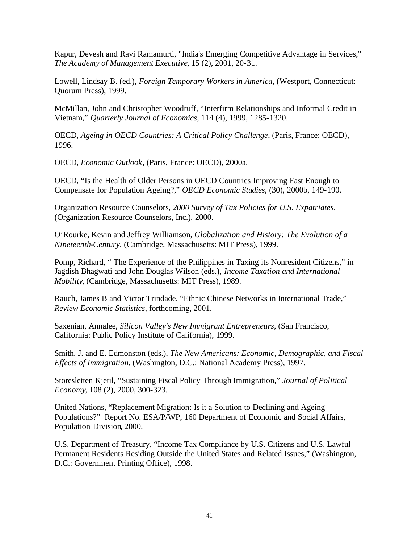Kapur, Devesh and Ravi Ramamurti, "India's Emerging Competitive Advantage in Services," *The Academy of Management Executive*, 15 (2), 2001, 20-31.

Lowell, Lindsay B. (ed.), *Foreign Temporary Workers in America*, (Westport, Connecticut: Quorum Press), 1999.

McMillan, John and Christopher Woodruff, "Interfirm Relationships and Informal Credit in Vietnam," *Quarterly Journal of Economics*, 114 (4), 1999, 1285-1320.

OECD, *Ageing in OECD Countries: A Critical Policy Challenge*, (Paris, France: OECD), 1996.

OECD, *Economic Outlook*, (Paris, France: OECD), 2000a.

OECD, "Is the Health of Older Persons in OECD Countries Improving Fast Enough to Compensate for Population Ageing?," *OECD Economic Studies*, (30), 2000b, 149-190.

Organization Resource Counselors, *2000 Survey of Tax Policies for U.S. Expatriates*, (Organization Resource Counselors, Inc.), 2000.

O'Rourke, Kevin and Jeffrey Williamson, *Globalization and History: The Evolution of a Nineteenth-Century*, (Cambridge, Massachusetts: MIT Press), 1999.

Pomp, Richard, " The Experience of the Philippines in Taxing its Nonresident Citizens," in Jagdish Bhagwati and John Douglas Wilson (eds.), *Income Taxation and International Mobility*, (Cambridge, Massachusetts: MIT Press), 1989.

Rauch, James B and Victor Trindade. "Ethnic Chinese Networks in International Trade," *Review Economic Statistics*, forthcoming, 2001.

Saxenian, Annalee, *Silicon Valley's New Immigrant Entrepreneurs*, (San Francisco, California: Public Policy Institute of California), 1999.

Smith, J. and E. Edmonston (eds.), *The New Americans: Economic, Demographic, and Fiscal Effects of Immigration*, (Washington, D.C.: National Academy Press), 1997.

Storesletten Kjetil, "Sustaining Fiscal Policy Through Immigration," *Journal of Political Economy*, 108 (2), 2000, 300-323.

United Nations, "Replacement Migration: Is it a Solution to Declining and Ageing Populations?" Report No. ESA/P/WP, 160 Department of Economic and Social Affairs, Population Division, 2000.

U.S. Department of Treasury, "Income Tax Compliance by U.S. Citizens and U.S. Lawful Permanent Residents Residing Outside the United States and Related Issues," (Washington, D.C.: Government Printing Office), 1998.